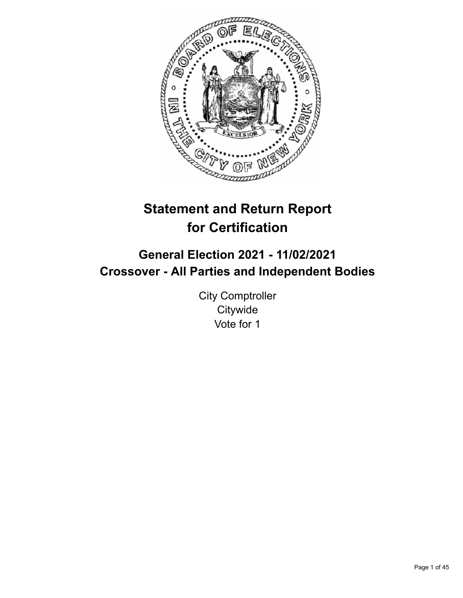

# **Statement and Return Report for Certification**

# **General Election 2021 - 11/02/2021 Crossover - All Parties and Independent Bodies**

City Comptroller **Citywide** Vote for 1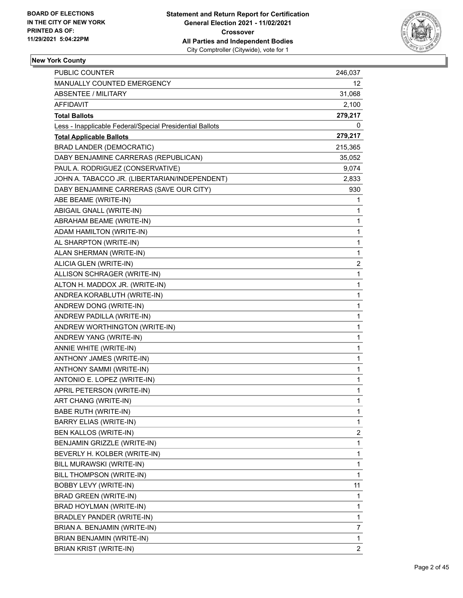

| PUBLIC COUNTER                                           | 246,037        |
|----------------------------------------------------------|----------------|
| MANUALLY COUNTED EMERGENCY                               | 12             |
| ABSENTEE / MILITARY                                      | 31,068         |
| AFFIDAVIT                                                | 2,100          |
| <b>Total Ballots</b>                                     | 279,217        |
| Less - Inapplicable Federal/Special Presidential Ballots | 0              |
| <b>Total Applicable Ballots</b>                          | 279,217        |
| <b>BRAD LANDER (DEMOCRATIC)</b>                          | 215,365        |
| DABY BENJAMINE CARRERAS (REPUBLICAN)                     | 35,052         |
| PAUL A. RODRIGUEZ (CONSERVATIVE)                         | 9,074          |
| JOHN A. TABACCO JR. (LIBERTARIAN/INDEPENDENT)            | 2,833          |
| DABY BENJAMINE CARRERAS (SAVE OUR CITY)                  | 930            |
| ABE BEAME (WRITE-IN)                                     | 1              |
| ABIGAIL GNALL (WRITE-IN)                                 | $\mathbf{1}$   |
| ABRAHAM BEAME (WRITE-IN)                                 | 1              |
| ADAM HAMILTON (WRITE-IN)                                 | $\mathbf{1}$   |
| AL SHARPTON (WRITE-IN)                                   | $\mathbf{1}$   |
| ALAN SHERMAN (WRITE-IN)                                  | 1              |
| ALICIA GLEN (WRITE-IN)                                   | 2              |
| ALLISON SCHRAGER (WRITE-IN)                              | $\mathbf{1}$   |
| ALTON H. MADDOX JR. (WRITE-IN)                           | 1              |
| ANDREA KORABLUTH (WRITE-IN)                              | $\mathbf{1}$   |
| ANDREW DONG (WRITE-IN)                                   | $\mathbf{1}$   |
| ANDREW PADILLA (WRITE-IN)                                | 1              |
| ANDREW WORTHINGTON (WRITE-IN)                            | $\mathbf{1}$   |
| ANDREW YANG (WRITE-IN)                                   | $\mathbf{1}$   |
| ANNIE WHITE (WRITE-IN)                                   | 1              |
| ANTHONY JAMES (WRITE-IN)                                 | $\mathbf{1}$   |
| ANTHONY SAMMI (WRITE-IN)                                 | $\mathbf{1}$   |
| ANTONIO E. LOPEZ (WRITE-IN)                              | 1              |
| APRIL PETERSON (WRITE-IN)                                | $\mathbf{1}$   |
| ART CHANG (WRITE-IN)                                     | $\mathbf{1}$   |
| BABE RUTH (WRITE-IN)                                     | 1              |
| <b>BARRY ELIAS (WRITE-IN)</b>                            | 1              |
| BEN KALLOS (WRITE-IN)                                    | 2              |
| BENJAMIN GRIZZLE (WRITE-IN)                              | 1              |
| BEVERLY H. KOLBER (WRITE-IN)                             | 1              |
| BILL MURAWSKI (WRITE-IN)                                 | $\mathbf{1}$   |
| BILL THOMPSON (WRITE-IN)                                 | $\mathbf{1}$   |
| BOBBY LEVY (WRITE-IN)                                    | 11             |
| BRAD GREEN (WRITE-IN)                                    | $\mathbf{1}$   |
| BRAD HOYLMAN (WRITE-IN)                                  | 1              |
| BRADLEY PANDER (WRITE-IN)                                | 1              |
| BRIAN A. BENJAMIN (WRITE-IN)                             | 7              |
| BRIAN BENJAMIN (WRITE-IN)                                | $\mathbf{1}$   |
| <b>BRIAN KRIST (WRITE-IN)</b>                            | $\overline{2}$ |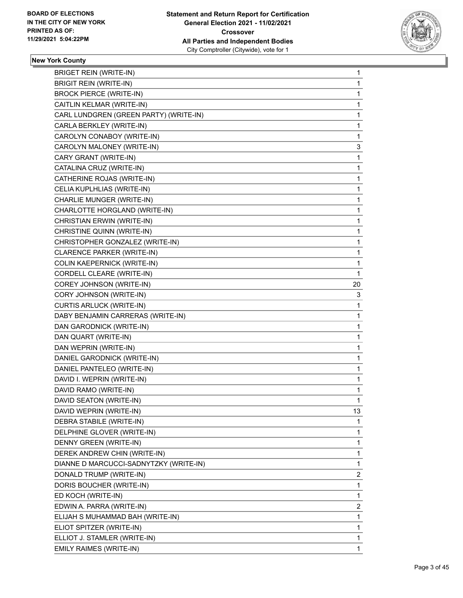

| <b>BRIGET REIN (WRITE-IN)</b>          | 1            |
|----------------------------------------|--------------|
| <b>BRIGIT REIN (WRITE-IN)</b>          | $\mathbf{1}$ |
| <b>BROCK PIERCE (WRITE-IN)</b>         | 1            |
| CAITLIN KELMAR (WRITE-IN)              | 1            |
| CARL LUNDGREN (GREEN PARTY) (WRITE-IN) | 1            |
| CARLA BERKLEY (WRITE-IN)               | 1            |
| CAROLYN CONABOY (WRITE-IN)             | 1            |
| CAROLYN MALONEY (WRITE-IN)             | 3            |
| CARY GRANT (WRITE-IN)                  | 1            |
| CATALINA CRUZ (WRITE-IN)               | 1            |
| CATHERINE ROJAS (WRITE-IN)             | 1            |
| CELIA KUPLHLIAS (WRITE-IN)             | 1            |
| CHARLIE MUNGER (WRITE-IN)              | 1            |
| CHARLOTTE HORGLAND (WRITE-IN)          | 1            |
| CHRISTIAN ERWIN (WRITE-IN)             | 1            |
| CHRISTINE QUINN (WRITE-IN)             | 1            |
| CHRISTOPHER GONZALEZ (WRITE-IN)        | 1            |
| CLARENCE PARKER (WRITE-IN)             | 1            |
| <b>COLIN KAEPERNICK (WRITE-IN)</b>     | 1            |
| CORDELL CLEARE (WRITE-IN)              | 1            |
| COREY JOHNSON (WRITE-IN)               | 20           |
| CORY JOHNSON (WRITE-IN)                | 3            |
| CURTIS ARLUCK (WRITE-IN)               | 1            |
| DABY BENJAMIN CARRERAS (WRITE-IN)      | 1            |
| DAN GARODNICK (WRITE-IN)               | 1            |
| DAN QUART (WRITE-IN)                   | 1            |
| DAN WEPRIN (WRITE-IN)                  | 1            |
| DANIEL GARODNICK (WRITE-IN)            | 1            |
| DANIEL PANTELEO (WRITE-IN)             | 1            |
| DAVID I. WEPRIN (WRITE-IN)             | 1            |
| DAVID RAMO (WRITE-IN)                  | 1            |
| DAVID SEATON (WRITE-IN)                | 1            |
| DAVID WEPRIN (WRITE-IN)                | 13           |
| DEBRA STABILE (WRITE-IN)               | 1            |
| DELPHINE GLOVER (WRITE-IN)             | 1            |
| DENNY GREEN (WRITE-IN)                 | 1            |
| DEREK ANDREW CHIN (WRITE-IN)           | 1            |
| DIANNE D MARCUCCI-SADNYTZKY (WRITE-IN) | 1            |
| DONALD TRUMP (WRITE-IN)                | 2            |
| DORIS BOUCHER (WRITE-IN)               | 1            |
| ED KOCH (WRITE-IN)                     | 1            |
| EDWIN A. PARRA (WRITE-IN)              | 2            |
| ELIJAH S MUHAMMAD BAH (WRITE-IN)       | 1            |
| ELIOT SPITZER (WRITE-IN)               | 1            |
| ELLIOT J. STAMLER (WRITE-IN)           | 1            |
| EMILY RAIMES (WRITE-IN)                | 1            |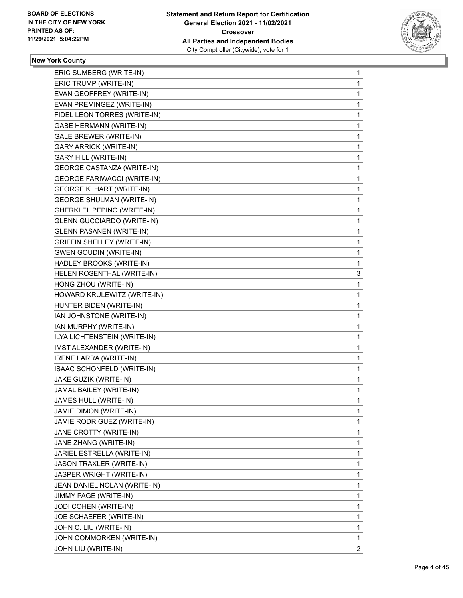

| ERIC SUMBERG (WRITE-IN)            | 1              |
|------------------------------------|----------------|
| ERIC TRUMP (WRITE-IN)              | 1              |
| EVAN GEOFFREY (WRITE-IN)           | 1              |
| EVAN PREMINGEZ (WRITE-IN)          | 1              |
| FIDEL LEON TORRES (WRITE-IN)       | 1              |
| <b>GABE HERMANN (WRITE-IN)</b>     | 1              |
| GALE BREWER (WRITE-IN)             | 1              |
| <b>GARY ARRICK (WRITE-IN)</b>      | 1              |
| <b>GARY HILL (WRITE-IN)</b>        | 1              |
| <b>GEORGE CASTANZA (WRITE-IN)</b>  | 1              |
| <b>GEORGE FARIWACCI (WRITE-IN)</b> | 1              |
| <b>GEORGE K. HART (WRITE-IN)</b>   | 1              |
| <b>GEORGE SHULMAN (WRITE-IN)</b>   | 1              |
| GHERKI EL PEPINO (WRITE-IN)        | 1              |
| <b>GLENN GUCCIARDO (WRITE-IN)</b>  | 1              |
| <b>GLENN PASANEN (WRITE-IN)</b>    | 1              |
| <b>GRIFFIN SHELLEY (WRITE-IN)</b>  | 1              |
| <b>GWEN GOUDIN (WRITE-IN)</b>      | 1              |
| HADLEY BROOKS (WRITE-IN)           | 1              |
| HELEN ROSENTHAL (WRITE-IN)         | 3              |
| HONG ZHOU (WRITE-IN)               | 1              |
| HOWARD KRULEWITZ (WRITE-IN)        | 1              |
| HUNTER BIDEN (WRITE-IN)            | 1              |
| IAN JOHNSTONE (WRITE-IN)           | 1              |
| IAN MURPHY (WRITE-IN)              | 1              |
| ILYA LICHTENSTEIN (WRITE-IN)       | 1              |
| IMST ALEXANDER (WRITE-IN)          | 1              |
| <b>IRENE LARRA (WRITE-IN)</b>      | 1              |
| ISAAC SCHONFELD (WRITE-IN)         | 1              |
| JAKE GUZIK (WRITE-IN)              | 1              |
| JAMAL BAILEY (WRITE-IN)            | 1              |
| JAMES HULL (WRITE-IN)              | 1              |
| JAMIE DIMON (WRITE-IN)             | 1              |
| JAMIE RODRIGUEZ (WRITE-IN)         | 1              |
| JANE CROTTY (WRITE-IN)             | 1              |
| JANE ZHANG (WRITE-IN)              | 1              |
| JARIEL ESTRELLA (WRITE-IN)         | 1              |
| JASON TRAXLER (WRITE-IN)           | 1              |
| JASPER WRIGHT (WRITE-IN)           | 1              |
| JEAN DANIEL NOLAN (WRITE-IN)       | 1              |
| JIMMY PAGE (WRITE-IN)              | 1              |
| JODI COHEN (WRITE-IN)              | 1              |
| JOE SCHAEFER (WRITE-IN)            | 1              |
| JOHN C. LIU (WRITE-IN)             | 1              |
| JOHN COMMORKEN (WRITE-IN)          | 1              |
| JOHN LIU (WRITE-IN)                | $\overline{2}$ |
|                                    |                |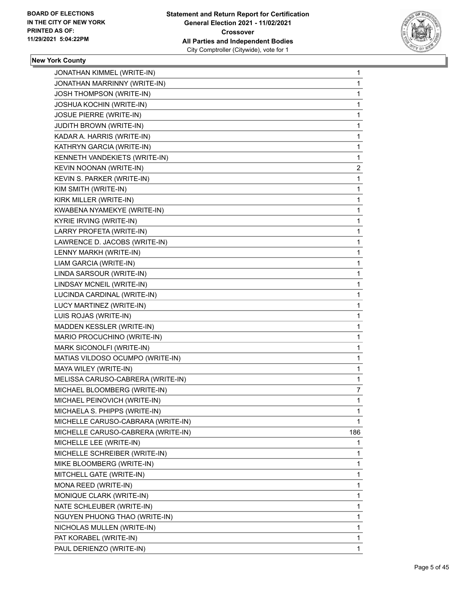

| JONATHAN KIMMEL (WRITE-IN)         | 1           |
|------------------------------------|-------------|
| JONATHAN MARRINNY (WRITE-IN)       | 1           |
| JOSH THOMPSON (WRITE-IN)           | $\mathbf 1$ |
| JOSHUA KOCHIN (WRITE-IN)           | 1           |
| JOSUE PIERRE (WRITE-IN)            | 1           |
| <b>JUDITH BROWN (WRITE-IN)</b>     | 1           |
| KADAR A. HARRIS (WRITE-IN)         | 1           |
| KATHRYN GARCIA (WRITE-IN)          | 1           |
| KENNETH VANDEKIETS (WRITE-IN)      | 1           |
| KEVIN NOONAN (WRITE-IN)            | 2           |
| KEVIN S. PARKER (WRITE-IN)         | 1           |
| KIM SMITH (WRITE-IN)               | 1           |
| KIRK MILLER (WRITE-IN)             | 1           |
| KWABENA NYAMEKYE (WRITE-IN)        | 1           |
| KYRIE IRVING (WRITE-IN)            | 1           |
| LARRY PROFETA (WRITE-IN)           | 1           |
| LAWRENCE D. JACOBS (WRITE-IN)      | 1           |
| LENNY MARKH (WRITE-IN)             | 1           |
| LIAM GARCIA (WRITE-IN)             | 1           |
| LINDA SARSOUR (WRITE-IN)           | 1           |
| LINDSAY MCNEIL (WRITE-IN)          | 1           |
| LUCINDA CARDINAL (WRITE-IN)        | 1           |
| LUCY MARTINEZ (WRITE-IN)           | 1           |
| LUIS ROJAS (WRITE-IN)              | 1           |
| MADDEN KESSLER (WRITE-IN)          | 1           |
| MARIO PROCUCHINO (WRITE-IN)        | 1           |
| MARK SICONOLFI (WRITE-IN)          | 1           |
| MATIAS VILDOSO OCUMPO (WRITE-IN)   | 1           |
| MAYA WILEY (WRITE-IN)              | 1           |
| MELISSA CARUSO-CABRERA (WRITE-IN)  | 1           |
| MICHAEL BLOOMBERG (WRITE-IN)       | 7           |
| MICHAEL PEINOVICH (WRITE-IN)       | 1           |
| MICHAELA S. PHIPPS (WRITE-IN)      | 1           |
| MICHELLE CARUSO-CABRARA (WRITE-IN) | $\mathbf 1$ |
| MICHELLE CARUSO-CABRERA (WRITE-IN) | 186         |
| MICHELLE LEE (WRITE-IN)            | 1           |
| MICHELLE SCHREIBER (WRITE-IN)      | 1           |
| MIKE BLOOMBERG (WRITE-IN)          | 1           |
| MITCHELL GATE (WRITE-IN)           | 1           |
| MONA REED (WRITE-IN)               | 1           |
| MONIQUE CLARK (WRITE-IN)           | 1           |
| NATE SCHLEUBER (WRITE-IN)          | 1           |
| NGUYEN PHUONG THAO (WRITE-IN)      | 1           |
| NICHOLAS MULLEN (WRITE-IN)         | 1           |
| PAT KORABEL (WRITE-IN)             | 1           |
| PAUL DERIENZO (WRITE-IN)           | 1           |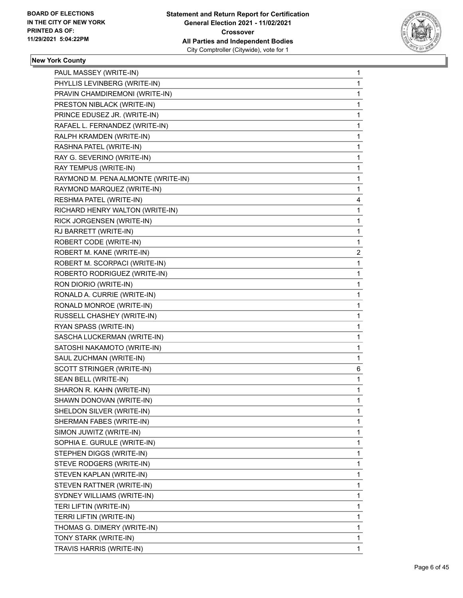

|                                    | 1 |
|------------------------------------|---|
| PHYLLIS LEVINBERG (WRITE-IN)       | 1 |
| PRAVIN CHAMDIREMONI (WRITE-IN)     | 1 |
| PRESTON NIBLACK (WRITE-IN)         | 1 |
| PRINCE EDUSEZ JR. (WRITE-IN)       | 1 |
| RAFAEL L. FERNANDEZ (WRITE-IN)     | 1 |
| RALPH KRAMDEN (WRITE-IN)           | 1 |
| RASHNA PATEL (WRITE-IN)            | 1 |
| RAY G. SEVERINO (WRITE-IN)         | 1 |
| RAY TEMPUS (WRITE-IN)              | 1 |
| RAYMOND M. PENA ALMONTE (WRITE-IN) | 1 |
| RAYMOND MARQUEZ (WRITE-IN)         | 1 |
| RESHMA PATEL (WRITE-IN)            | 4 |
| RICHARD HENRY WALTON (WRITE-IN)    | 1 |
| RICK JORGENSEN (WRITE-IN)          | 1 |
| RJ BARRETT (WRITE-IN)              | 1 |
| ROBERT CODE (WRITE-IN)             | 1 |
| ROBERT M. KANE (WRITE-IN)          | 2 |
| ROBERT M. SCORPACI (WRITE-IN)      | 1 |
| ROBERTO RODRIGUEZ (WRITE-IN)       | 1 |
| RON DIORIO (WRITE-IN)              | 1 |
| RONALD A. CURRIE (WRITE-IN)        | 1 |
| RONALD MONROE (WRITE-IN)           | 1 |
| RUSSELL CHASHEY (WRITE-IN)         | 1 |
| RYAN SPASS (WRITE-IN)              | 1 |
| SASCHA LUCKERMAN (WRITE-IN)        | 1 |
| SATOSHI NAKAMOTO (WRITE-IN)        | 1 |
| SAUL ZUCHMAN (WRITE-IN)            | 1 |
| SCOTT STRINGER (WRITE-IN)          | 6 |
| SEAN BELL (WRITE-IN)               | 1 |
|                                    | 1 |
| SHARON R. KAHN (WRITE-IN)          |   |
| SHAWN DONOVAN (WRITE-IN)           | 1 |
| SHELDON SILVER (WRITE-IN)          | 1 |
| SHERMAN FABES (WRITE-IN)           | 1 |
| SIMON JUWITZ (WRITE-IN)            | 1 |
| SOPHIA E. GURULE (WRITE-IN)        | 1 |
| STEPHEN DIGGS (WRITE-IN)           | 1 |
| STEVE RODGERS (WRITE-IN)           | 1 |
| STEVEN KAPLAN (WRITE-IN)           | 1 |
| STEVEN RATTNER (WRITE-IN)          | 1 |
| SYDNEY WILLIAMS (WRITE-IN)         | 1 |
| TERI LIFTIN (WRITE-IN)             | 1 |
| TERRI LIFTIN (WRITE-IN)            | 1 |
| THOMAS G. DIMERY (WRITE-IN)        | 1 |
| TONY STARK (WRITE-IN)              | 1 |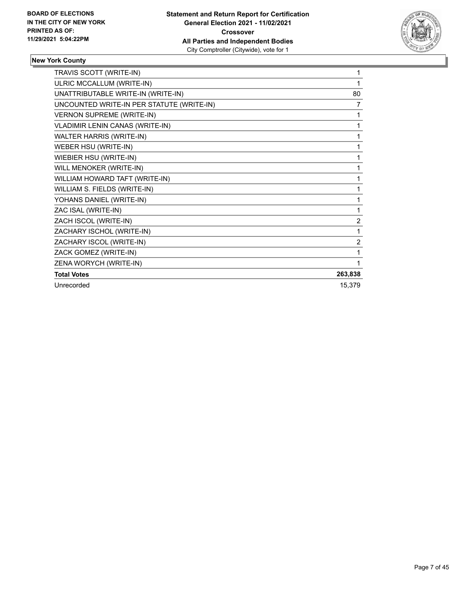

| TRAVIS SCOTT (WRITE-IN)                   | 1              |
|-------------------------------------------|----------------|
| ULRIC MCCALLUM (WRITE-IN)                 | 1              |
| UNATTRIBUTABLE WRITE-IN (WRITE-IN)        | 80             |
| UNCOUNTED WRITE-IN PER STATUTE (WRITE-IN) | 7              |
| <b>VERNON SUPREME (WRITE-IN)</b>          | 1              |
| VLADIMIR LENIN CANAS (WRITE-IN)           | 1              |
| WALTER HARRIS (WRITE-IN)                  | 1              |
| WEBER HSU (WRITE-IN)                      | 1              |
| WIEBIER HSU (WRITE-IN)                    | 1              |
| WILL MENOKER (WRITE-IN)                   | 1              |
| WILLIAM HOWARD TAFT (WRITE-IN)            | 1              |
| WILLIAM S. FIELDS (WRITE-IN)              | 1              |
| YOHANS DANIEL (WRITE-IN)                  | 1              |
| ZAC ISAL (WRITE-IN)                       | 1              |
| ZACH ISCOL (WRITE-IN)                     | $\overline{2}$ |
| ZACHARY ISCHOL (WRITE-IN)                 | 1              |
| ZACHARY ISCOL (WRITE-IN)                  | 2              |
| ZACK GOMEZ (WRITE-IN)                     | 1              |
| ZENA WORYCH (WRITE-IN)                    | 1              |
| <b>Total Votes</b>                        | 263,838        |
| Unrecorded                                | 15,379         |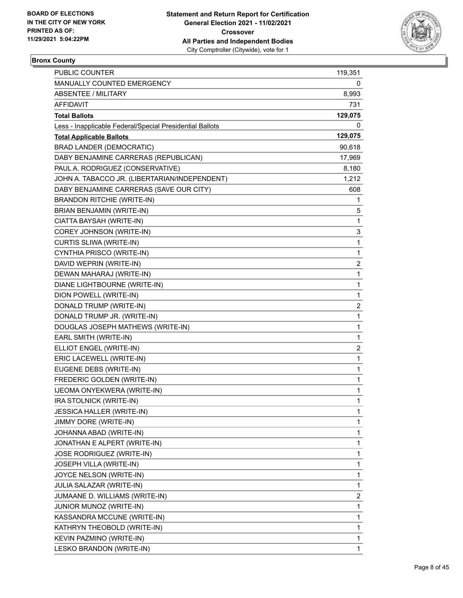

## **Bronx County**

| PUBLIC COUNTER                                           | 119,351                 |
|----------------------------------------------------------|-------------------------|
| MANUALLY COUNTED EMERGENCY                               | 0                       |
| ABSENTEE / MILITARY                                      | 8,993                   |
| AFFIDAVIT                                                | 731                     |
| <b>Total Ballots</b>                                     | 129,075                 |
| Less - Inapplicable Federal/Special Presidential Ballots | 0                       |
| <b>Total Applicable Ballots</b>                          | 129,075                 |
| <b>BRAD LANDER (DEMOCRATIC)</b>                          | 90,618                  |
| DABY BENJAMINE CARRERAS (REPUBLICAN)                     | 17,969                  |
| PAUL A. RODRIGUEZ (CONSERVATIVE)                         | 8,180                   |
| JOHN A. TABACCO JR. (LIBERTARIAN/INDEPENDENT)            | 1,212                   |
| DABY BENJAMINE CARRERAS (SAVE OUR CITY)                  | 608                     |
| <b>BRANDON RITCHIE (WRITE-IN)</b>                        | 1                       |
| BRIAN BENJAMIN (WRITE-IN)                                | 5                       |
| CIATTA BAYSAH (WRITE-IN)                                 | 1                       |
| COREY JOHNSON (WRITE-IN)                                 | 3                       |
| CURTIS SLIWA (WRITE-IN)                                  | 1                       |
| CYNTHIA PRISCO (WRITE-IN)                                | 1                       |
| DAVID WEPRIN (WRITE-IN)                                  | 2                       |
| DEWAN MAHARAJ (WRITE-IN)                                 | 1                       |
| DIANE LIGHTBOURNE (WRITE-IN)                             | 1                       |
| DION POWELL (WRITE-IN)                                   | 1                       |
| DONALD TRUMP (WRITE-IN)                                  | 2                       |
| DONALD TRUMP JR. (WRITE-IN)                              | 1                       |
| DOUGLAS JOSEPH MATHEWS (WRITE-IN)                        | 1                       |
| EARL SMITH (WRITE-IN)                                    | $\mathbf{1}$            |
| ELLIOT ENGEL (WRITE-IN)                                  | 2                       |
| ERIC LACEWELL (WRITE-IN)                                 | 1                       |
| EUGENE DEBS (WRITE-IN)                                   | 1                       |
| FREDERIC GOLDEN (WRITE-IN)                               | 1                       |
| IJEOMA ONYEKWERA (WRITE-IN)                              | 1                       |
| IRA STOLNICK (WRITE-IN)                                  | $\mathbf{1}$            |
| <b>JESSICA HALLER (WRITE-IN)</b>                         | 1                       |
| <b>JIMMY DORE (WRITE-IN)</b>                             | 1                       |
| JOHANNA ABAD (WRITE-IN)                                  | 1                       |
| JONATHAN E ALPERT (WRITE-IN)                             | 1                       |
| JOSE RODRIGUEZ (WRITE-IN)                                | 1                       |
| JOSEPH VILLA (WRITE-IN)                                  | 1                       |
| JOYCE NELSON (WRITE-IN)                                  | 1                       |
| JULIA SALAZAR (WRITE-IN)                                 | 1                       |
| JUMAANE D. WILLIAMS (WRITE-IN)                           | $\overline{\mathbf{c}}$ |
| JUNIOR MUNOZ (WRITE-IN)                                  | 1                       |
| KASSANDRA MCCUNE (WRITE-IN)                              | 1                       |
| KATHRYN THEOBOLD (WRITE-IN)                              | 1                       |
| KEVIN PAZMINO (WRITE-IN)                                 | 1                       |
| LESKO BRANDON (WRITE-IN)                                 | 1                       |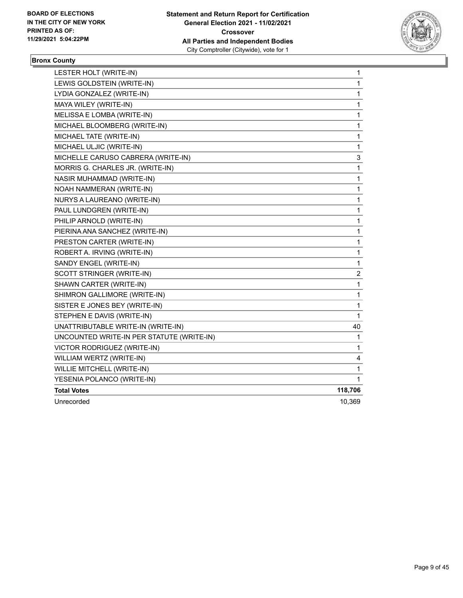

## **Bronx County**

| LESTER HOLT (WRITE-IN)                    | 1            |
|-------------------------------------------|--------------|
| LEWIS GOLDSTEIN (WRITE-IN)                | $\mathbf{1}$ |
| LYDIA GONZALEZ (WRITE-IN)                 | $\mathbf{1}$ |
| MAYA WILEY (WRITE-IN)                     | 1            |
| MELISSA E LOMBA (WRITE-IN)                | $\mathbf 1$  |
| MICHAEL BLOOMBERG (WRITE-IN)              | 1            |
| MICHAEL TATE (WRITE-IN)                   | 1            |
| MICHAEL ULJIC (WRITE-IN)                  | 1            |
| MICHELLE CARUSO CABRERA (WRITE-IN)        | 3            |
| MORRIS G. CHARLES JR. (WRITE-IN)          | 1            |
| NASIR MUHAMMAD (WRITE-IN)                 | $\mathbf 1$  |
| NOAH NAMMERAN (WRITE-IN)                  | 1            |
| NURYS A LAUREANO (WRITE-IN)               | 1            |
| PAUL LUNDGREN (WRITE-IN)                  | 1            |
| PHILIP ARNOLD (WRITE-IN)                  | 1            |
| PIERINA ANA SANCHEZ (WRITE-IN)            | 1            |
| PRESTON CARTER (WRITE-IN)                 | $\mathbf 1$  |
| ROBERT A. IRVING (WRITE-IN)               | 1            |
| SANDY ENGEL (WRITE-IN)                    | 1            |
| SCOTT STRINGER (WRITE-IN)                 | 2            |
| SHAWN CARTER (WRITE-IN)                   | 1            |
| SHIMRON GALLIMORE (WRITE-IN)              | 1            |
| SISTER E JONES BEY (WRITE-IN)             | 1            |
| STEPHEN E DAVIS (WRITE-IN)                | 1            |
| UNATTRIBUTABLE WRITE-IN (WRITE-IN)        | 40           |
| UNCOUNTED WRITE-IN PER STATUTE (WRITE-IN) | 1            |
| VICTOR RODRIGUEZ (WRITE-IN)               | 1            |
| WILLIAM WERTZ (WRITE-IN)                  | 4            |
| WILLIE MITCHELL (WRITE-IN)                | 1            |
| YESENIA POLANCO (WRITE-IN)                | 1            |
| <b>Total Votes</b>                        | 118,706      |
| Unrecorded                                | 10,369       |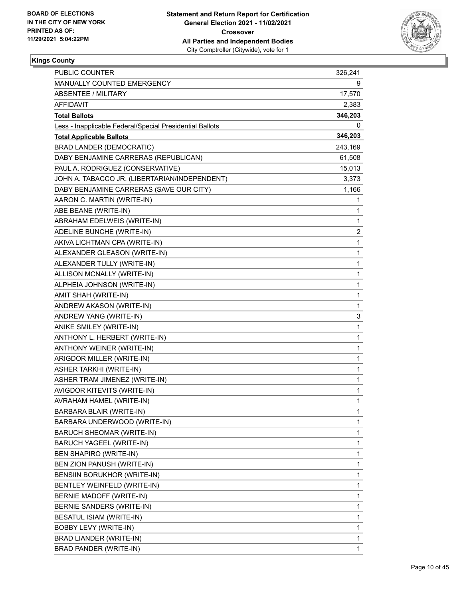

| PUBLIC COUNTER                                           | 326,241      |
|----------------------------------------------------------|--------------|
| MANUALLY COUNTED EMERGENCY                               | 9            |
| <b>ABSENTEE / MILITARY</b>                               | 17,570       |
| AFFIDAVIT                                                | 2,383        |
| <b>Total Ballots</b>                                     | 346,203      |
| Less - Inapplicable Federal/Special Presidential Ballots | 0            |
| <b>Total Applicable Ballots</b>                          | 346,203      |
| <b>BRAD LANDER (DEMOCRATIC)</b>                          | 243,169      |
| DABY BENJAMINE CARRERAS (REPUBLICAN)                     | 61,508       |
| PAUL A. RODRIGUEZ (CONSERVATIVE)                         | 15,013       |
| JOHN A. TABACCO JR. (LIBERTARIAN/INDEPENDENT)            | 3,373        |
| DABY BENJAMINE CARRERAS (SAVE OUR CITY)                  | 1,166        |
| AARON C. MARTIN (WRITE-IN)                               | 1            |
| ABE BEANE (WRITE-IN)                                     | 1            |
| ABRAHAM EDELWEIS (WRITE-IN)                              | $\mathbf{1}$ |
| ADELINE BUNCHE (WRITE-IN)                                | 2            |
| AKIVA LICHTMAN CPA (WRITE-IN)                            | 1            |
| ALEXANDER GLEASON (WRITE-IN)                             | 1            |
| ALEXANDER TULLY (WRITE-IN)                               | $\mathbf{1}$ |
| ALLISON MCNALLY (WRITE-IN)                               | 1            |
| ALPHEIA JOHNSON (WRITE-IN)                               | $\mathbf{1}$ |
| AMIT SHAH (WRITE-IN)                                     | $\mathbf{1}$ |
| ANDREW AKASON (WRITE-IN)                                 | 1            |
| ANDREW YANG (WRITE-IN)                                   | 3            |
| ANIKE SMILEY (WRITE-IN)                                  | $\mathbf{1}$ |
| ANTHONY L. HERBERT (WRITE-IN)                            | 1            |
| ANTHONY WEINER (WRITE-IN)                                | $\mathbf{1}$ |
| ARIGDOR MILLER (WRITE-IN)                                | 1            |
| <b>ASHER TARKHI (WRITE-IN)</b>                           | 1            |
| ASHER TRAM JIMENEZ (WRITE-IN)                            | 1            |
| AVIGDOR KITEVITS (WRITE-IN)                              | $\mathbf{1}$ |
| AVRAHAM HAMEL (WRITE-IN)                                 | $\mathbf{1}$ |
| BARBARA BLAIR (WRITE-IN)                                 | 1            |
| BARBARA UNDERWOOD (WRITE-IN)                             | 1            |
| <b>BARUCH SHEOMAR (WRITE-IN)</b>                         | 1            |
| BARUCH YAGEEL (WRITE-IN)                                 | 1            |
| BEN SHAPIRO (WRITE-IN)                                   | $\mathbf{1}$ |
| BEN ZION PANUSH (WRITE-IN)                               | 1            |
| BENSIIN BORUKHOR (WRITE-IN)                              | 1            |
| BENTLEY WEINFELD (WRITE-IN)                              | 1            |
| BERNIE MADOFF (WRITE-IN)                                 | 1            |
| BERNIE SANDERS (WRITE-IN)                                | 1            |
| BESATUL ISIAM (WRITE-IN)                                 | $\mathbf{1}$ |
| <b>BOBBY LEVY (WRITE-IN)</b>                             | 1            |
| BRAD LIANDER (WRITE-IN)                                  | 1            |
| BRAD PANDER (WRITE-IN)                                   | $\mathbf{1}$ |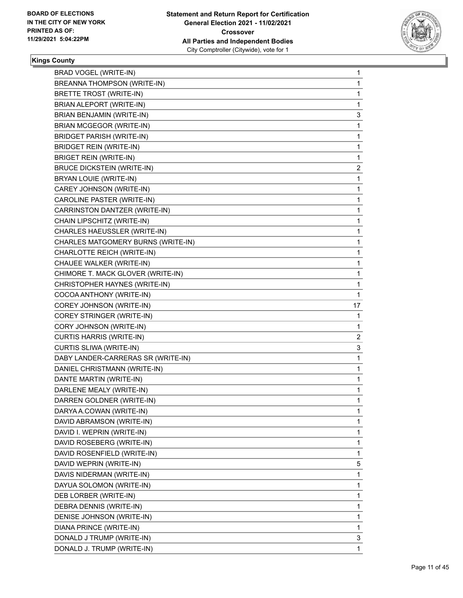

| BRAD VOGEL (WRITE-IN)              | 1            |
|------------------------------------|--------------|
| BREANNA THOMPSON (WRITE-IN)        | 1            |
| BRETTE TROST (WRITE-IN)            | 1            |
| BRIAN ALEPORT (WRITE-IN)           | 1            |
| BRIAN BENJAMIN (WRITE-IN)          | 3            |
| BRIAN MCGEGOR (WRITE-IN)           | 1            |
| <b>BRIDGET PARISH (WRITE-IN)</b>   | 1            |
| BRIDGET REIN (WRITE-IN)            | 1            |
| <b>BRIGET REIN (WRITE-IN)</b>      | 1            |
| <b>BRUCE DICKSTEIN (WRITE-IN)</b>  | 2            |
| BRYAN LOUIE (WRITE-IN)             | 1            |
| CAREY JOHNSON (WRITE-IN)           | 1            |
| CAROLINE PASTER (WRITE-IN)         | 1            |
| CARRINSTON DANTZER (WRITE-IN)      | 1            |
| CHAIN LIPSCHITZ (WRITE-IN)         | 1            |
| CHARLES HAEUSSLER (WRITE-IN)       | 1            |
| CHARLES MATGOMERY BURNS (WRITE-IN) | 1            |
| CHARLOTTE REICH (WRITE-IN)         | 1            |
| CHAUEE WALKER (WRITE-IN)           | 1            |
| CHIMORE T. MACK GLOVER (WRITE-IN)  | 1            |
| CHRISTOPHER HAYNES (WRITE-IN)      | 1            |
| COCOA ANTHONY (WRITE-IN)           | 1            |
| COREY JOHNSON (WRITE-IN)           | 17           |
| COREY STRINGER (WRITE-IN)          | 1            |
| CORY JOHNSON (WRITE-IN)            | 1            |
| <b>CURTIS HARRIS (WRITE-IN)</b>    | 2            |
| CURTIS SLIWA (WRITE-IN)            | 3            |
| DABY LANDER-CARRERAS SR (WRITE-IN) | $\mathbf{1}$ |
| DANIEL CHRISTMANN (WRITE-IN)       | 1            |
| DANTE MARTIN (WRITE-IN)            | 1            |
| DARLENE MEALY (WRITE-IN)           | 1            |
| DARREN GOLDNER (WRITE-IN)          | 1            |
| DARYA A.COWAN (WRITE-IN)           | 1            |
| DAVID ABRAMSON (WRITE-IN)          | 1            |
| DAVID I. WEPRIN (WRITE-IN)         | 1            |
| DAVID ROSEBERG (WRITE-IN)          | 1            |
| DAVID ROSENFIELD (WRITE-IN)        | 1            |
| DAVID WEPRIN (WRITE-IN)            | 5            |
| DAVIS NIDERMAN (WRITE-IN)          | 1            |
| DAYUA SOLOMON (WRITE-IN)           | 1            |
| DEB LORBER (WRITE-IN)              | 1            |
| DEBRA DENNIS (WRITE-IN)            | 1            |
| DENISE JOHNSON (WRITE-IN)          | 1            |
| DIANA PRINCE (WRITE-IN)            | 1            |
| DONALD J TRUMP (WRITE-IN)          | 3            |
|                                    |              |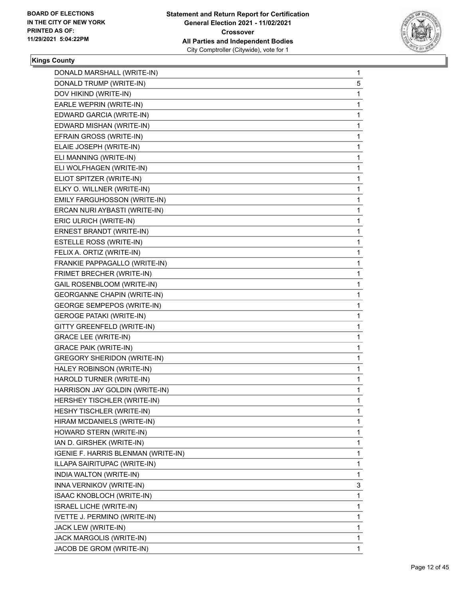

| DONALD MARSHALL (WRITE-IN)          | 1            |
|-------------------------------------|--------------|
| DONALD TRUMP (WRITE-IN)             | 5            |
| DOV HIKIND (WRITE-IN)               | 1            |
| EARLE WEPRIN (WRITE-IN)             | $\mathbf{1}$ |
| EDWARD GARCIA (WRITE-IN)            | 1            |
| EDWARD MISHAN (WRITE-IN)            | 1            |
| EFRAIN GROSS (WRITE-IN)             | 1            |
| ELAIE JOSEPH (WRITE-IN)             | 1            |
| ELI MANNING (WRITE-IN)              | 1            |
| ELI WOLFHAGEN (WRITE-IN)            | $\mathbf{1}$ |
| ELIOT SPITZER (WRITE-IN)            | 1            |
| ELKY O. WILLNER (WRITE-IN)          | 1            |
| EMILY FARGUHOSSON (WRITE-IN)        | 1            |
| ERCAN NURI AYBASTI (WRITE-IN)       | 1            |
| ERIC ULRICH (WRITE-IN)              | 1            |
| ERNEST BRANDT (WRITE-IN)            | $\mathbf{1}$ |
| ESTELLE ROSS (WRITE-IN)             | 1            |
| FELIX A. ORTIZ (WRITE-IN)           | 1            |
| FRANKIE PAPPAGALLO (WRITE-IN)       | 1            |
| FRIMET BRECHER (WRITE-IN)           | 1            |
| GAIL ROSENBLOOM (WRITE-IN)          | 1            |
| <b>GEORGANNE CHAPIN (WRITE-IN)</b>  | $\mathbf{1}$ |
| <b>GEORGE SEMPEPOS (WRITE-IN)</b>   | 1            |
| <b>GEROGE PATAKI (WRITE-IN)</b>     | 1            |
| GITTY GREENFELD (WRITE-IN)          | 1            |
| <b>GRACE LEE (WRITE-IN)</b>         | 1            |
| <b>GRACE PAIK (WRITE-IN)</b>        | 1            |
| <b>GREGORY SHERIDON (WRITE-IN)</b>  | $\mathbf{1}$ |
| HALEY ROBINSON (WRITE-IN)           | 1            |
| HAROLD TURNER (WRITE-IN)            | 1            |
| HARRISON JAY GOLDIN (WRITE-IN)      | $\mathbf{1}$ |
| HERSHEY TISCHLER (WRITE-IN)         | 1            |
| HESHY TISCHLER (WRITE-IN)           | 1            |
| HIRAM MCDANIELS (WRITE-IN)          | 1            |
| HOWARD STERN (WRITE-IN)             | 1            |
| IAN D. GIRSHEK (WRITE-IN)           | 1            |
| IGENIE F. HARRIS BLENMAN (WRITE-IN) | 1            |
| ILLAPA SAIRITUPAC (WRITE-IN)        | 1            |
| INDIA WALTON (WRITE-IN)             | 1            |
| INNA VERNIKOV (WRITE-IN)            | 3            |
| ISAAC KNOBLOCH (WRITE-IN)           | 1            |
| <b>ISRAEL LICHE (WRITE-IN)</b>      | 1            |
| IVETTE J. PERMINO (WRITE-IN)        | $\mathbf{1}$ |
| JACK LEW (WRITE-IN)                 | 1            |
| JACK MARGOLIS (WRITE-IN)            | 1            |
| JACOB DE GROM (WRITE-IN)            | $\mathbf{1}$ |
|                                     |              |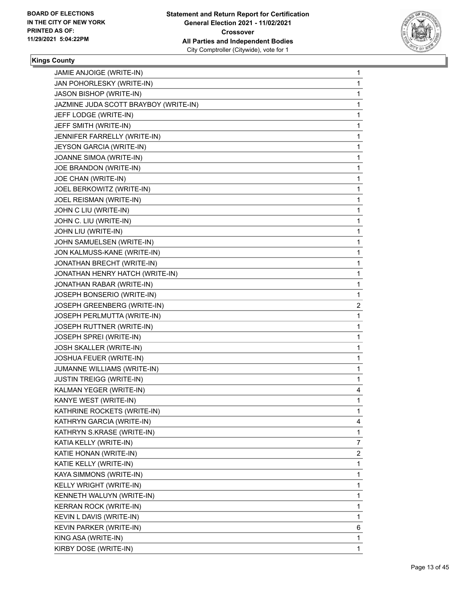

| JAMIE ANJOIGE (WRITE-IN)              | 1           |
|---------------------------------------|-------------|
| JAN POHORLESKY (WRITE-IN)             | 1           |
| JASON BISHOP (WRITE-IN)               | 1           |
| JAZMINE JUDA SCOTT BRAYBOY (WRITE-IN) | 1           |
| JEFF LODGE (WRITE-IN)                 | 1           |
| JEFF SMITH (WRITE-IN)                 | 1           |
| JENNIFER FARRELLY (WRITE-IN)          | 1           |
| JEYSON GARCIA (WRITE-IN)              | 1           |
| JOANNE SIMOA (WRITE-IN)               | 1           |
| JOE BRANDON (WRITE-IN)                | 1           |
| JOE CHAN (WRITE-IN)                   | 1           |
| JOEL BERKOWITZ (WRITE-IN)             | 1           |
| JOEL REISMAN (WRITE-IN)               | 1           |
| JOHN C LIU (WRITE-IN)                 | 1           |
| JOHN C. LIU (WRITE-IN)                | 1           |
| JOHN LIU (WRITE-IN)                   | 1           |
| JOHN SAMUELSEN (WRITE-IN)             | 1           |
| JON KALMUSS-KANE (WRITE-IN)           | 1           |
| JONATHAN BRECHT (WRITE-IN)            | 1           |
| JONATHAN HENRY HATCH (WRITE-IN)       | 1           |
| JONATHAN RABAR (WRITE-IN)             | 1           |
| JOSEPH BONSERIO (WRITE-IN)            | 1           |
| JOSEPH GREENBERG (WRITE-IN)           | 2           |
| JOSEPH PERLMUTTA (WRITE-IN)           | 1           |
| <b>JOSEPH RUTTNER (WRITE-IN)</b>      | 1           |
| JOSEPH SPREI (WRITE-IN)               | 1           |
| JOSH SKALLER (WRITE-IN)               | 1           |
| JOSHUA FEUER (WRITE-IN)               | 1           |
| JUMANNE WILLIAMS (WRITE-IN)           | 1           |
| <b>JUSTIN TREIGG (WRITE-IN)</b>       | 1           |
| KALMAN YEGER (WRITE-IN)               | 4           |
| KANYE WEST (WRITE-IN)                 | $\mathbf 1$ |
| KATHRINE ROCKETS (WRITE-IN)           | 1           |
| KATHRYN GARCIA (WRITE-IN)             | 4           |
| KATHRYN S.KRASE (WRITE-IN)            | 1           |
| KATIA KELLY (WRITE-IN)                | 7           |
| KATIE HONAN (WRITE-IN)                | 2           |
| KATIE KELLY (WRITE-IN)                | 1           |
| KAYA SIMMONS (WRITE-IN)               | 1           |
| KELLY WRIGHT (WRITE-IN)               | 1           |
| KENNETH WALUYN (WRITE-IN)             | 1           |
| KERRAN ROCK (WRITE-IN)                | 1           |
| KEVIN L DAVIS (WRITE-IN)              | 1           |
| KEVIN PARKER (WRITE-IN)               | 6           |
| KING ASA (WRITE-IN)                   | 1           |
| KIRBY DOSE (WRITE-IN)                 | 1           |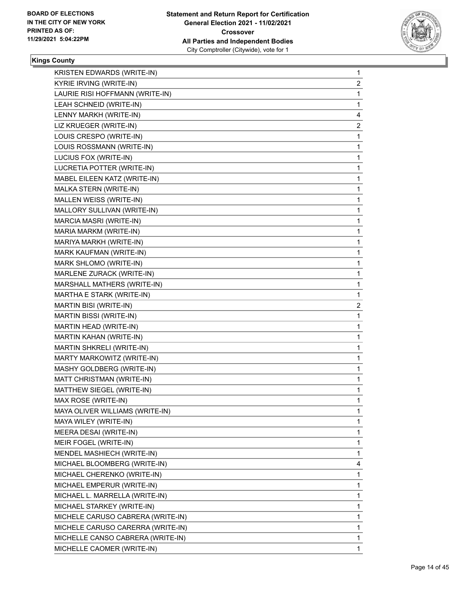

| 1              |
|----------------|
| $\overline{a}$ |
| 1              |
| 1              |
| 4              |
| 2              |
| 1              |
| 1              |
| 1              |
| $\mathbf{1}$   |
| 1              |
| 1              |
| 1              |
| 1              |
| 1              |
| 1              |
| 1              |
| 1              |
| 1              |
| 1              |
| 1              |
| 1              |
| 2              |
| 1              |
| 1              |
| 1              |
| 1              |
| $\mathbf{1}$   |
| 1              |
| $\mathbf{1}$   |
| 1              |
| 1              |
| 1              |
| 1              |
| 1              |
| 1              |
| 1              |
| 4              |
|                |
| 1              |
| 1              |
| 1              |
| 1              |
| 1              |
| 1              |
| 1              |
|                |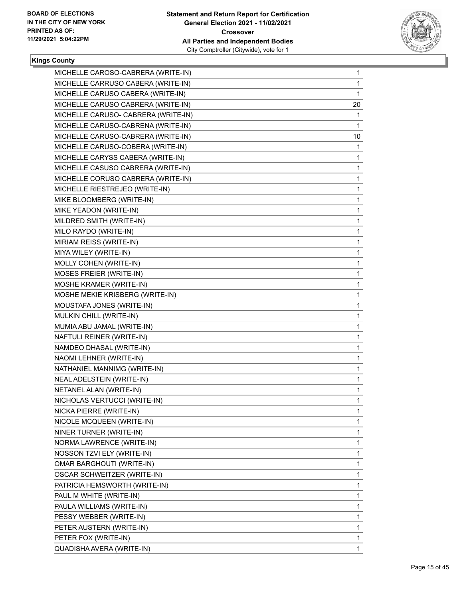

| MICHELLE CAROSO-CABRERA (WRITE-IN)  | $\mathbf{1}$ |
|-------------------------------------|--------------|
| MICHELLE CARRUSO CABERA (WRITE-IN)  | 1            |
| MICHELLE CARUSO CABERA (WRITE-IN)   | 1            |
| MICHELLE CARUSO CABRERA (WRITE-IN)  | 20           |
| MICHELLE CARUSO- CABRERA (WRITE-IN) | 1            |
| MICHELLE CARUSO-CABRENA (WRITE-IN)  | 1            |
| MICHELLE CARUSO-CABRERA (WRITE-IN)  | 10           |
| MICHELLE CARUSO-COBERA (WRITE-IN)   | $\mathbf{1}$ |
| MICHELLE CARYSS CABERA (WRITE-IN)   | 1            |
| MICHELLE CASUSO CABRERA (WRITE-IN)  | 1            |
| MICHELLE CORUSO CABRERA (WRITE-IN)  | 1            |
| MICHELLE RIESTREJEO (WRITE-IN)      | 1            |
| MIKE BLOOMBERG (WRITE-IN)           | 1            |
| MIKE YEADON (WRITE-IN)              | 1            |
| MILDRED SMITH (WRITE-IN)            | 1            |
| MILO RAYDO (WRITE-IN)               | 1            |
| MIRIAM REISS (WRITE-IN)             | 1            |
| MIYA WILEY (WRITE-IN)               | 1            |
| MOLLY COHEN (WRITE-IN)              | 1            |
| MOSES FREIER (WRITE-IN)             | 1            |
| MOSHE KRAMER (WRITE-IN)             | 1            |
| MOSHE MEKIE KRISBERG (WRITE-IN)     | 1            |
| MOUSTAFA JONES (WRITE-IN)           | 1            |
| MULKIN CHILL (WRITE-IN)             | 1            |
| MUMIA ABU JAMAL (WRITE-IN)          | 1            |
| NAFTULI REINER (WRITE-IN)           | 1            |
| NAMDEO DHASAL (WRITE-IN)            | 1            |
| NAOMI LEHNER (WRITE-IN)             | 1            |
| NATHANIEL MANNIMG (WRITE-IN)        | 1            |
| NEAL ADELSTEIN (WRITE-IN)           | 1            |
| NETANEL ALAN (WRITE-IN)             | 1            |
| NICHOLAS VERTUCCI (WRITE-IN)        | 1            |
| NICKA PIERRE (WRITE-IN)             | 1            |
| NICOLE MCQUEEN (WRITE-IN)           | 1            |
| NINER TURNER (WRITE-IN)             | 1            |
| NORMA LAWRENCE (WRITE-IN)           | 1            |
| NOSSON TZVI ELY (WRITE-IN)          | 1            |
| OMAR BARGHOUTI (WRITE-IN)           | 1            |
| OSCAR SCHWEITZER (WRITE-IN)         | 1            |
| PATRICIA HEMSWORTH (WRITE-IN)       | 1            |
| PAUL M WHITE (WRITE-IN)             | 1            |
| PAULA WILLIAMS (WRITE-IN)           | 1            |
| PESSY WEBBER (WRITE-IN)             | 1            |
| PETER AUSTERN (WRITE-IN)            | 1            |
| PETER FOX (WRITE-IN)                | 1            |
| QUADISHA AVERA (WRITE-IN)           | 1            |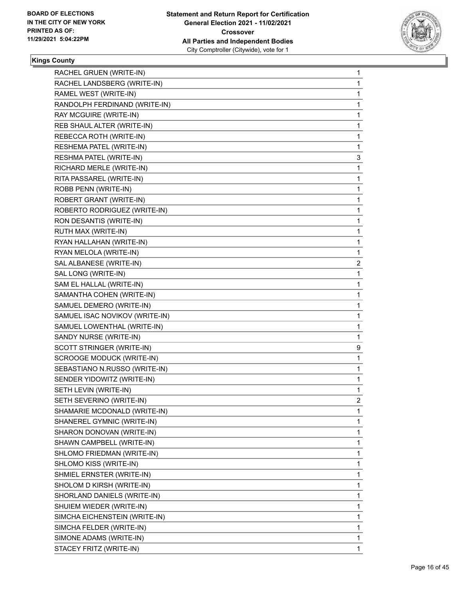

| RACHEL GRUEN (WRITE-IN)        | 1              |
|--------------------------------|----------------|
| RACHEL LANDSBERG (WRITE-IN)    | 1              |
| RAMEL WEST (WRITE-IN)          | 1              |
| RANDOLPH FERDINAND (WRITE-IN)  | 1              |
| RAY MCGUIRE (WRITE-IN)         | 1              |
| REB SHAUL ALTER (WRITE-IN)     | 1              |
| REBECCA ROTH (WRITE-IN)        | 1              |
| RESHEMA PATEL (WRITE-IN)       | 1              |
| RESHMA PATEL (WRITE-IN)        | 3              |
| RICHARD MERLE (WRITE-IN)       | 1              |
| RITA PASSAREL (WRITE-IN)       | 1              |
| ROBB PENN (WRITE-IN)           | 1              |
| ROBERT GRANT (WRITE-IN)        | 1              |
| ROBERTO RODRIGUEZ (WRITE-IN)   | 1              |
| RON DESANTIS (WRITE-IN)        | 1              |
| RUTH MAX (WRITE-IN)            | 1              |
| RYAN HALLAHAN (WRITE-IN)       | 1              |
| RYAN MELOLA (WRITE-IN)         | 1              |
| SAL ALBANESE (WRITE-IN)        | 2              |
| SAL LONG (WRITE-IN)            | 1              |
| SAM EL HALLAL (WRITE-IN)       | 1              |
| SAMANTHA COHEN (WRITE-IN)      | 1              |
| SAMUEL DEMERO (WRITE-IN)       | 1              |
| SAMUEL ISAC NOVIKOV (WRITE-IN) | 1              |
| SAMUEL LOWENTHAL (WRITE-IN)    | 1              |
| SANDY NURSE (WRITE-IN)         | 1              |
| SCOTT STRINGER (WRITE-IN)      | 9              |
| SCROOGE MODUCK (WRITE-IN)      | 1              |
| SEBASTIANO N.RUSSO (WRITE-IN)  | 1              |
| SENDER YIDOWITZ (WRITE-IN)     | 1              |
| SETH LEVIN (WRITE-IN)          | 1              |
| SETH SEVERINO (WRITE-IN)       | $\overline{2}$ |
| SHAMARIE MCDONALD (WRITE-IN)   | 1              |
| SHANEREL GYMNIC (WRITE-IN)     | 1              |
| SHARON DONOVAN (WRITE-IN)      | 1              |
| SHAWN CAMPBELL (WRITE-IN)      | 1              |
| SHLOMO FRIEDMAN (WRITE-IN)     | 1              |
| SHLOMO KISS (WRITE-IN)         | 1              |
| SHMIEL ERNSTER (WRITE-IN)      | 1              |
| SHOLOM D KIRSH (WRITE-IN)      | 1              |
| SHORLAND DANIELS (WRITE-IN)    | 1              |
| SHUIEM WIEDER (WRITE-IN)       | 1              |
| SIMCHA EICHENSTEIN (WRITE-IN)  | 1              |
| SIMCHA FELDER (WRITE-IN)       | 1              |
| SIMONE ADAMS (WRITE-IN)        | 1              |
| STACEY FRITZ (WRITE-IN)        | 1              |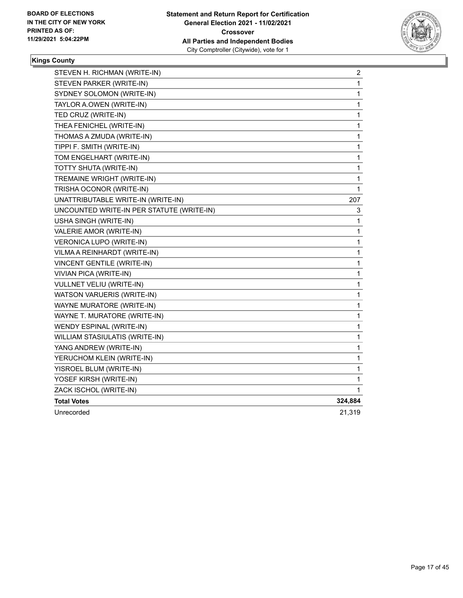

| STEVEN H. RICHMAN (WRITE-IN)              | 2            |
|-------------------------------------------|--------------|
| STEVEN PARKER (WRITE-IN)                  | 1            |
| SYDNEY SOLOMON (WRITE-IN)                 | 1            |
| TAYLOR A.OWEN (WRITE-IN)                  | $\mathbf 1$  |
| TED CRUZ (WRITE-IN)                       | 1            |
| THEA FENICHEL (WRITE-IN)                  | $\mathbf{1}$ |
| THOMAS A ZMUDA (WRITE-IN)                 | 1            |
| TIPPI F. SMITH (WRITE-IN)                 | 1            |
| TOM ENGELHART (WRITE-IN)                  | 1            |
| TOTTY SHUTA (WRITE-IN)                    | 1            |
| TREMAINE WRIGHT (WRITE-IN)                | 1            |
| TRISHA OCONOR (WRITE-IN)                  | 1            |
| UNATTRIBUTABLE WRITE-IN (WRITE-IN)        | 207          |
| UNCOUNTED WRITE-IN PER STATUTE (WRITE-IN) | 3            |
| USHA SINGH (WRITE-IN)                     | 1            |
| VALERIE AMOR (WRITE-IN)                   | 1            |
| VERONICA LUPO (WRITE-IN)                  | 1            |
| VILMA A REINHARDT (WRITE-IN)              | 1            |
| VINCENT GENTILE (WRITE-IN)                | 1            |
| VIVIAN PICA (WRITE-IN)                    | 1            |
| VULLNET VELIU (WRITE-IN)                  | 1            |
| WATSON VARUERIS (WRITE-IN)                | 1            |
| WAYNE MURATORE (WRITE-IN)                 | 1            |
| WAYNE T. MURATORE (WRITE-IN)              | 1            |
| WENDY ESPINAL (WRITE-IN)                  | 1            |
| WILLIAM STASIULATIS (WRITE-IN)            | 1            |
| YANG ANDREW (WRITE-IN)                    | 1            |
| YERUCHOM KLEIN (WRITE-IN)                 | $\mathbf{1}$ |
| YISROEL BLUM (WRITE-IN)                   | 1            |
| YOSEF KIRSH (WRITE-IN)                    | 1            |
| ZACK ISCHOL (WRITE-IN)                    | 1            |
| <b>Total Votes</b>                        | 324,884      |
| Unrecorded                                | 21,319       |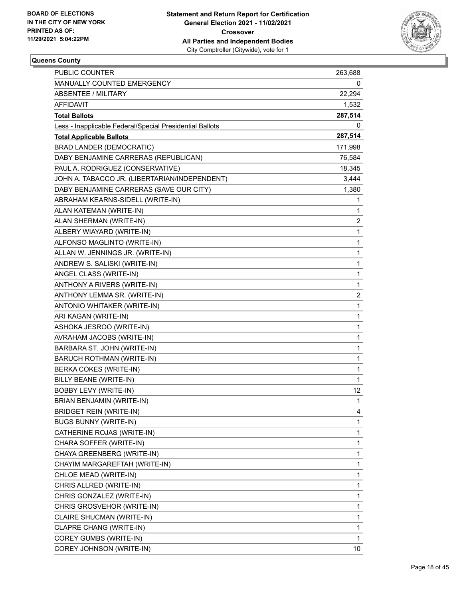

| PUBLIC COUNTER                                           | 263,688      |
|----------------------------------------------------------|--------------|
| MANUALLY COUNTED EMERGENCY                               | 0            |
| <b>ABSENTEE / MILITARY</b>                               | 22,294       |
| AFFIDAVIT                                                | 1,532        |
| <b>Total Ballots</b>                                     | 287,514      |
| Less - Inapplicable Federal/Special Presidential Ballots | 0            |
| <b>Total Applicable Ballots</b>                          | 287,514      |
| <b>BRAD LANDER (DEMOCRATIC)</b>                          | 171,998      |
| DABY BENJAMINE CARRERAS (REPUBLICAN)                     | 76,584       |
| PAUL A. RODRIGUEZ (CONSERVATIVE)                         | 18,345       |
| JOHN A. TABACCO JR. (LIBERTARIAN/INDEPENDENT)            | 3,444        |
| DABY BENJAMINE CARRERAS (SAVE OUR CITY)                  | 1,380        |
| ABRAHAM KEARNS-SIDELL (WRITE-IN)                         | 1            |
| ALAN KATEMAN (WRITE-IN)                                  | $\mathbf{1}$ |
| ALAN SHERMAN (WRITE-IN)                                  | 2            |
| ALBERY WIAYARD (WRITE-IN)                                | 1            |
| ALFONSO MAGLINTO (WRITE-IN)                              | $\mathbf{1}$ |
| ALLAN W. JENNINGS JR. (WRITE-IN)                         | 1            |
| ANDREW S. SALISKI (WRITE-IN)                             | 1            |
| ANGEL CLASS (WRITE-IN)                                   | $\mathbf{1}$ |
| ANTHONY A RIVERS (WRITE-IN)                              | 1            |
| ANTHONY LEMMA SR. (WRITE-IN)                             | 2            |
| ANTONIO WHITAKER (WRITE-IN)                              | $\mathbf{1}$ |
| ARI KAGAN (WRITE-IN)                                     | 1            |
| ASHOKA JESROO (WRITE-IN)                                 | 1            |
| AVRAHAM JACOBS (WRITE-IN)                                | $\mathbf{1}$ |
| BARBARA ST. JOHN (WRITE-IN)                              | 1            |
| BARUCH ROTHMAN (WRITE-IN)                                | 1            |
| BERKA COKES (WRITE-IN)                                   | $\mathbf{1}$ |
| BILLY BEANE (WRITE-IN)                                   | 1            |
| <b>BOBBY LEVY (WRITE-IN)</b>                             | 12           |
| BRIAN BENJAMIN (WRITE-IN)                                | $\mathbf{1}$ |
| BRIDGET REIN (WRITE-IN)                                  | 4            |
| BUGS BUNNY (WRITE-IN)                                    | 1            |
| CATHERINE ROJAS (WRITE-IN)                               | $\mathbf{1}$ |
| CHARA SOFFER (WRITE-IN)                                  | 1            |
| CHAYA GREENBERG (WRITE-IN)                               | 1            |
| CHAYIM MARGAREFTAH (WRITE-IN)                            | $\mathbf{1}$ |
| CHLOE MEAD (WRITE-IN)                                    | 1            |
| CHRIS ALLRED (WRITE-IN)                                  | 1            |
| CHRIS GONZALEZ (WRITE-IN)                                | $\mathbf{1}$ |
| CHRIS GROSVEHOR (WRITE-IN)                               | 1            |
| CLAIRE SHUCMAN (WRITE-IN)                                | 1            |
| CLAPRE CHANG (WRITE-IN)                                  | $\mathbf{1}$ |
| COREY GUMBS (WRITE-IN)                                   | 1            |
| COREY JOHNSON (WRITE-IN)                                 | 10           |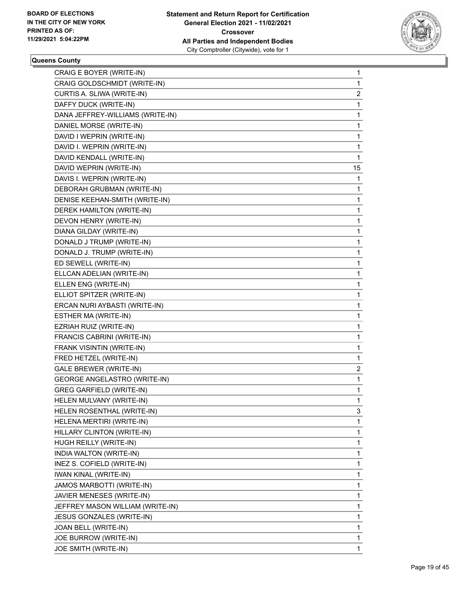

| CRAIG E BOYER (WRITE-IN)            | $\mathbf 1$  |
|-------------------------------------|--------------|
| CRAIG GOLDSCHMIDT (WRITE-IN)        | 1            |
| CURTIS A. SLIWA (WRITE-IN)          | 2            |
| DAFFY DUCK (WRITE-IN)               | 1            |
| DANA JEFFREY-WILLIAMS (WRITE-IN)    | 1            |
| DANIEL MORSE (WRITE-IN)             | 1            |
| DAVID I WEPRIN (WRITE-IN)           | 1            |
| DAVID I. WEPRIN (WRITE-IN)          | 1            |
| DAVID KENDALL (WRITE-IN)            | 1            |
| DAVID WEPRIN (WRITE-IN)             | 15           |
| DAVIS I. WEPRIN (WRITE-IN)          | 1            |
| DEBORAH GRUBMAN (WRITE-IN)          | 1            |
| DENISE KEEHAN-SMITH (WRITE-IN)      | 1            |
| DEREK HAMILTON (WRITE-IN)           | 1            |
| DEVON HENRY (WRITE-IN)              | 1            |
| DIANA GILDAY (WRITE-IN)             | 1            |
| DONALD J TRUMP (WRITE-IN)           | $\mathbf 1$  |
| DONALD J. TRUMP (WRITE-IN)          | 1            |
| ED SEWELL (WRITE-IN)                | 1            |
| ELLCAN ADELIAN (WRITE-IN)           | 1            |
| ELLEN ENG (WRITE-IN)                | 1            |
| ELLIOT SPITZER (WRITE-IN)           | 1            |
| ERCAN NURI AYBASTI (WRITE-IN)       | $\mathbf 1$  |
| ESTHER MA (WRITE-IN)                | 1            |
| EZRIAH RUIZ (WRITE-IN)              | 1            |
| FRANCIS CABRINI (WRITE-IN)          | 1            |
| FRANK VISINTIN (WRITE-IN)           | 1            |
| FRED HETZEL (WRITE-IN)              | 1            |
| GALE BREWER (WRITE-IN)              | 2            |
| <b>GEORGE ANGELASTRO (WRITE-IN)</b> | 1            |
| <b>GREG GARFIELD (WRITE-IN)</b>     | 1            |
| HELEN MULVANY (WRITE-IN)            | $\mathbf{1}$ |
| HELEN ROSENTHAL (WRITE-IN)          | 3            |
| HELENA MERTIRI (WRITE-IN)           | 1            |
| HILLARY CLINTON (WRITE-IN)          | 1            |
| HUGH REILLY (WRITE-IN)              | 1            |
| INDIA WALTON (WRITE-IN)             | 1            |
| INEZ S. COFIELD (WRITE-IN)          | $\mathbf{1}$ |
| IWAN KINAL (WRITE-IN)               | 1            |
| JAMOS MARBOTTI (WRITE-IN)           | 1            |
| JAVIER MENESES (WRITE-IN)           | 1            |
| JEFFREY MASON WILLIAM (WRITE-IN)    | 1            |
| JESUS GONZALES (WRITE-IN)           | 1            |
| JOAN BELL (WRITE-IN)                | $\mathbf{1}$ |
| JOE BURROW (WRITE-IN)               | 1            |
| JOE SMITH (WRITE-IN)                | 1            |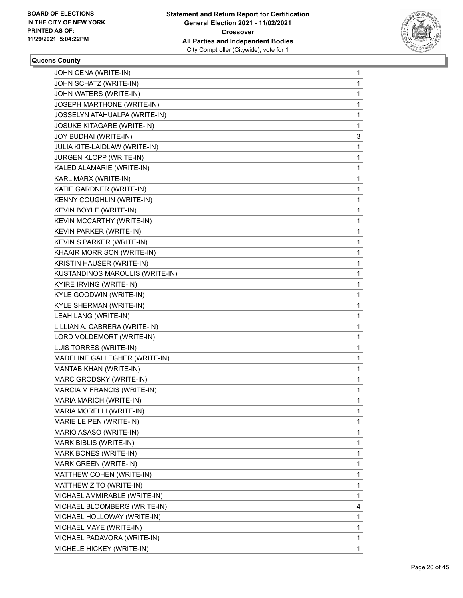

| JOHN CENA (WRITE-IN)              | 1            |
|-----------------------------------|--------------|
| JOHN SCHATZ (WRITE-IN)            | 1            |
| JOHN WATERS (WRITE-IN)            | 1            |
| JOSEPH MARTHONE (WRITE-IN)        | 1            |
| JOSSELYN ATAHUALPA (WRITE-IN)     | 1            |
| <b>JOSUKE KITAGARE (WRITE-IN)</b> | 1            |
| JOY BUDHAI (WRITE-IN)             | 3            |
| JULIA KITE-LAIDLAW (WRITE-IN)     | 1            |
| JURGEN KLOPP (WRITE-IN)           | 1            |
| KALED ALAMARIE (WRITE-IN)         | 1            |
| KARL MARX (WRITE-IN)              | 1            |
| KATIE GARDNER (WRITE-IN)          | 1            |
| <b>KENNY COUGHLIN (WRITE-IN)</b>  | 1            |
| KEVIN BOYLE (WRITE-IN)            | 1            |
| KEVIN MCCARTHY (WRITE-IN)         | 1            |
| KEVIN PARKER (WRITE-IN)           | 1            |
| KEVIN S PARKER (WRITE-IN)         | 1            |
| KHAAIR MORRISON (WRITE-IN)        | 1            |
| KRISTIN HAUSER (WRITE-IN)         | 1            |
| KUSTANDINOS MAROULIS (WRITE-IN)   | 1            |
| KYIRE IRVING (WRITE-IN)           | 1            |
| KYLE GOODWIN (WRITE-IN)           | 1            |
| KYLE SHERMAN (WRITE-IN)           | 1            |
| LEAH LANG (WRITE-IN)              | 1            |
| LILLIAN A. CABRERA (WRITE-IN)     | 1            |
| LORD VOLDEMORT (WRITE-IN)         | 1            |
| LUIS TORRES (WRITE-IN)            | 1            |
| MADELINE GALLEGHER (WRITE-IN)     | 1            |
| MANTAB KHAN (WRITE-IN)            | 1            |
| MARC GRODSKY (WRITE-IN)           | 1            |
| MARCIA M FRANCIS (WRITE-IN)       | 1            |
| MARIA MARICH (WRITE-IN)           | 1            |
| MARIA MORELLI (WRITE-IN)          | 1            |
| MARIE LE PEN (WRITE-IN)           | 1            |
| MARIO ASASO (WRITE-IN)            | 1            |
| MARK BIBLIS (WRITE-IN)            | 1            |
| MARK BONES (WRITE-IN)             | 1            |
| MARK GREEN (WRITE-IN)             | 1            |
| MATTHEW COHEN (WRITE-IN)          | 1            |
| MATTHEW ZITO (WRITE-IN)           | 1            |
| MICHAEL AMMIRABLE (WRITE-IN)      | 1            |
| MICHAEL BLOOMBERG (WRITE-IN)      | 4            |
| MICHAEL HOLLOWAY (WRITE-IN)       | 1            |
| MICHAEL MAYE (WRITE-IN)           | $\mathbf{1}$ |
| MICHAEL PADAVORA (WRITE-IN)       | 1            |
| MICHELE HICKEY (WRITE-IN)         | 1            |
|                                   |              |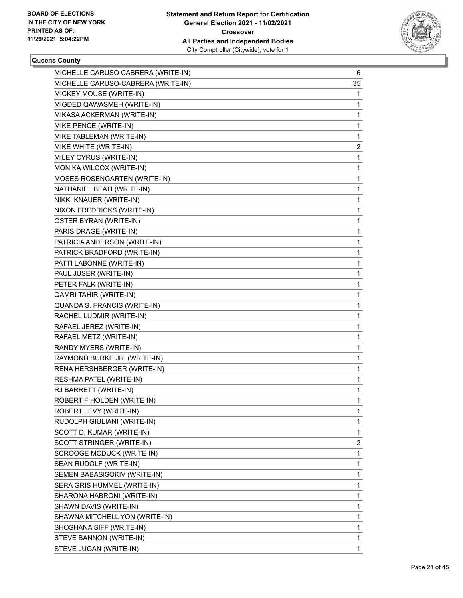

| MICHELLE CARUSO CABRERA (WRITE-IN) | 6              |
|------------------------------------|----------------|
| MICHELLE CARUSO-CABRERA (WRITE-IN) | 35             |
| MICKEY MOUSE (WRITE-IN)            | 1              |
| MIGDED QAWASMEH (WRITE-IN)         | 1              |
| MIKASA ACKERMAN (WRITE-IN)         | 1              |
| MIKE PENCE (WRITE-IN)              | 1              |
| MIKE TABLEMAN (WRITE-IN)           | 1              |
| MIKE WHITE (WRITE-IN)              | $\overline{c}$ |
| MILEY CYRUS (WRITE-IN)             | 1              |
| MONIKA WILCOX (WRITE-IN)           | 1              |
| MOSES ROSENGARTEN (WRITE-IN)       | 1              |
| NATHANIEL BEATI (WRITE-IN)         | 1              |
| NIKKI KNAUER (WRITE-IN)            | 1              |
| NIXON FREDRICKS (WRITE-IN)         | 1              |
| OSTER BYRAN (WRITE-IN)             | 1              |
| PARIS DRAGE (WRITE-IN)             | 1              |
| PATRICIA ANDERSON (WRITE-IN)       | 1              |
| PATRICK BRADFORD (WRITE-IN)        | 1              |
| PATTI LABONNE (WRITE-IN)           | 1              |
| PAUL JUSER (WRITE-IN)              | 1              |
| PETER FALK (WRITE-IN)              | 1              |
| <b>QAMRI TAHIR (WRITE-IN)</b>      | 1              |
| QUANDA S. FRANCIS (WRITE-IN)       | 1              |
| RACHEL LUDMIR (WRITE-IN)           | 1              |
| RAFAEL JEREZ (WRITE-IN)            | 1              |
| RAFAEL METZ (WRITE-IN)             | 1              |
| RANDY MYERS (WRITE-IN)             | 1              |
| RAYMOND BURKE JR. (WRITE-IN)       | 1              |
| RENA HERSHBERGER (WRITE-IN)        | 1              |
| RESHMA PATEL (WRITE-IN)            | 1              |
| RJ BARRETT (WRITE-IN)              | 1              |
| ROBERT F HOLDEN (WRITE-IN)         | 1              |
| ROBERT LEVY (WRITE-IN)             | 1              |
| RUDOLPH GIULIANI (WRITE-IN)        | 1              |
| SCOTT D. KUMAR (WRITE-IN)          | 1              |
| SCOTT STRINGER (WRITE-IN)          | 2              |
| SCROOGE MCDUCK (WRITE-IN)          | 1              |
| SEAN RUDOLF (WRITE-IN)             | 1              |
| SEMEN BABASISOKIV (WRITE-IN)       | 1              |
| SERA GRIS HUMMEL (WRITE-IN)        | 1              |
| SHARONA HABRONI (WRITE-IN)         | 1              |
| SHAWN DAVIS (WRITE-IN)             | 1              |
| SHAWNA MITCHELL YON (WRITE-IN)     | 1              |
| SHOSHANA SIFF (WRITE-IN)           | 1              |
| STEVE BANNON (WRITE-IN)            | 1              |
| STEVE JUGAN (WRITE-IN)             | 1              |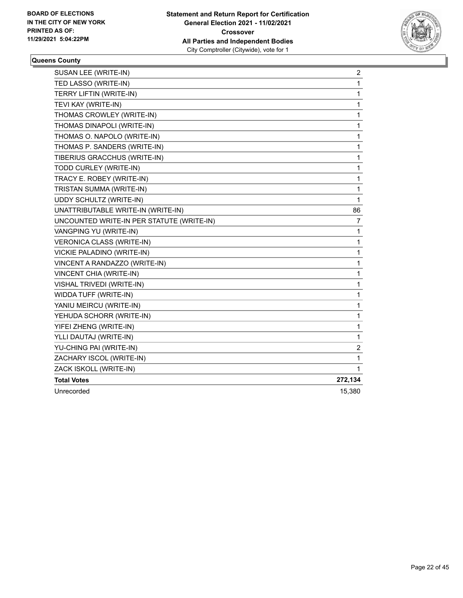

| SUSAN LEE (WRITE-IN)                      | 2            |
|-------------------------------------------|--------------|
| TED LASSO (WRITE-IN)                      | $\mathbf{1}$ |
| TERRY LIFTIN (WRITE-IN)                   | $\mathbf{1}$ |
| TEVI KAY (WRITE-IN)                       | 1            |
| THOMAS CROWLEY (WRITE-IN)                 | $\mathbf 1$  |
| THOMAS DINAPOLI (WRITE-IN)                | 1            |
| THOMAS O. NAPOLO (WRITE-IN)               | 1            |
| THOMAS P. SANDERS (WRITE-IN)              | $\mathbf{1}$ |
| TIBERIUS GRACCHUS (WRITE-IN)              | $\mathbf{1}$ |
| TODD CURLEY (WRITE-IN)                    | $\mathbf{1}$ |
| TRACY E. ROBEY (WRITE-IN)                 | 1            |
| TRISTAN SUMMA (WRITE-IN)                  | 1            |
| UDDY SCHULTZ (WRITE-IN)                   | $\mathbf{1}$ |
| UNATTRIBUTABLE WRITE-IN (WRITE-IN)        | 86           |
| UNCOUNTED WRITE-IN PER STATUTE (WRITE-IN) | 7            |
| VANGPING YU (WRITE-IN)                    | 1            |
| <b>VERONICA CLASS (WRITE-IN)</b>          | $\mathbf{1}$ |
| VICKIE PALADINO (WRITE-IN)                | $\mathbf 1$  |
| VINCENT A RANDAZZO (WRITE-IN)             | 1            |
| VINCENT CHIA (WRITE-IN)                   | $\mathbf 1$  |
| VISHAL TRIVEDI (WRITE-IN)                 | 1            |
| WIDDA TUFF (WRITE-IN)                     | 1            |
| YANIU MEIRCU (WRITE-IN)                   | $\mathbf{1}$ |
| YEHUDA SCHORR (WRITE-IN)                  | 1            |
| YIFEI ZHENG (WRITE-IN)                    | $\mathbf{1}$ |
| YLLI DAUTAJ (WRITE-IN)                    | 1            |
| YU-CHING PAI (WRITE-IN)                   | 2            |
| ZACHARY ISCOL (WRITE-IN)                  | 1            |
| ZACK ISKOLL (WRITE-IN)                    | 1            |
| <b>Total Votes</b>                        | 272,134      |
| Unrecorded                                | 15,380       |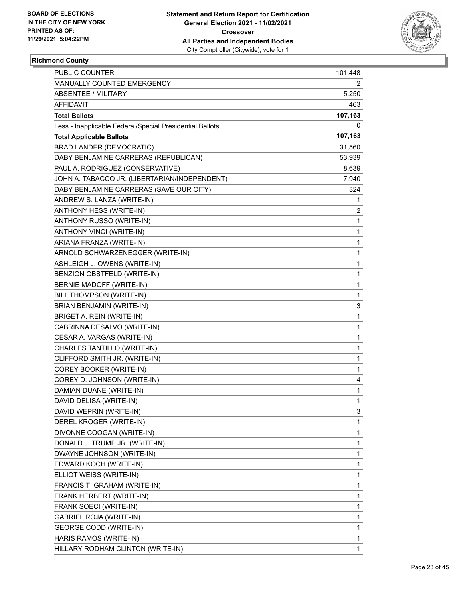

## **Richmond County**

| PUBLIC COUNTER                                           | 101,448 |
|----------------------------------------------------------|---------|
| MANUALLY COUNTED EMERGENCY                               | 2       |
| <b>ABSENTEE / MILITARY</b>                               | 5,250   |
| AFFIDAVIT                                                | 463     |
| <b>Total Ballots</b>                                     | 107,163 |
| Less - Inapplicable Federal/Special Presidential Ballots | 0       |
| <b>Total Applicable Ballots</b>                          | 107,163 |
| <b>BRAD LANDER (DEMOCRATIC)</b>                          | 31,560  |
| DABY BENJAMINE CARRERAS (REPUBLICAN)                     | 53,939  |
| PAUL A. RODRIGUEZ (CONSERVATIVE)                         | 8,639   |
| JOHN A. TABACCO JR. (LIBERTARIAN/INDEPENDENT)            | 7,940   |
| DABY BENJAMINE CARRERAS (SAVE OUR CITY)                  | 324     |
| ANDREW S. LANZA (WRITE-IN)                               | 1       |
| ANTHONY HESS (WRITE-IN)                                  | 2       |
| ANTHONY RUSSO (WRITE-IN)                                 | 1       |
| ANTHONY VINCI (WRITE-IN)                                 | 1       |
| ARIANA FRANZA (WRITE-IN)                                 | 1       |
| ARNOLD SCHWARZENEGGER (WRITE-IN)                         | 1       |
| ASHLEIGH J. OWENS (WRITE-IN)                             | 1       |
| BENZION OBSTFELD (WRITE-IN)                              | 1       |
| BERNIE MADOFF (WRITE-IN)                                 | 1       |
| BILL THOMPSON (WRITE-IN)                                 | 1       |
| BRIAN BENJAMIN (WRITE-IN)                                | 3       |
| BRIGET A. REIN (WRITE-IN)                                | 1       |
| CABRINNA DESALVO (WRITE-IN)                              | 1       |
| CESAR A. VARGAS (WRITE-IN)                               | 1       |
| CHARLES TANTILLO (WRITE-IN)                              | 1       |
| CLIFFORD SMITH JR. (WRITE-IN)                            | 1       |
| COREY BOOKER (WRITE-IN)                                  | 1       |
| COREY D. JOHNSON (WRITE-IN)                              | 4       |
| DAMIAN DUANE (WRITE-IN)                                  | 1       |
| DAVID DELISA (WRITE-IN)                                  | 1       |
| DAVID WEPRIN (WRITE-IN)                                  | 3       |
| DEREL KROGER (WRITE-IN)                                  | 1       |
| DIVONNE COOGAN (WRITE-IN)                                | 1       |
| DONALD J. TRUMP JR. (WRITE-IN)                           | 1       |
| DWAYNE JOHNSON (WRITE-IN)                                | 1       |
| EDWARD KOCH (WRITE-IN)                                   | 1       |
| ELLIOT WEISS (WRITE-IN)                                  | 1       |
| FRANCIS T. GRAHAM (WRITE-IN)                             | 1       |
| FRANK HERBERT (WRITE-IN)                                 | 1       |
| FRANK SOECI (WRITE-IN)                                   | 1       |
| GABRIEL ROJA (WRITE-IN)                                  | 1       |
| <b>GEORGE CODD (WRITE-IN)</b>                            | 1       |
| HARIS RAMOS (WRITE-IN)                                   | 1       |
| HILLARY RODHAM CLINTON (WRITE-IN)                        | 1       |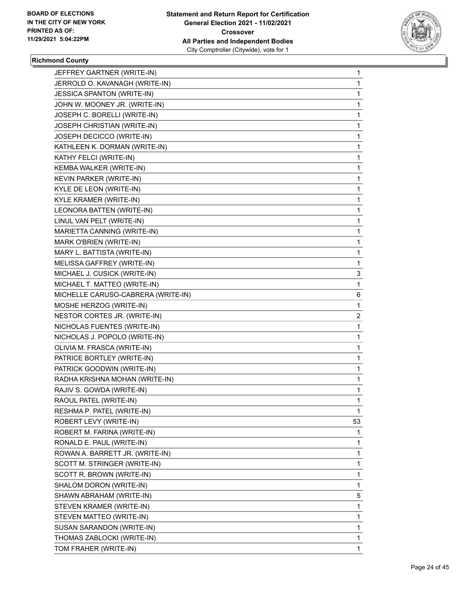

# **Richmond County**

| JEFFREY GARTNER (WRITE-IN)         | $\mathbf{1}$ |
|------------------------------------|--------------|
| JERROLD O. KAVANAGH (WRITE-IN)     | 1            |
| JESSICA SPANTON (WRITE-IN)         | $\mathbf 1$  |
| JOHN W. MOONEY JR. (WRITE-IN)      | 1            |
| JOSEPH C. BORELLI (WRITE-IN)       | 1            |
| JOSEPH CHRISTIAN (WRITE-IN)        | 1            |
| JOSEPH DECICCO (WRITE-IN)          | 1            |
| KATHLEEN K. DORMAN (WRITE-IN)      | 1            |
| KATHY FELCI (WRITE-IN)             | 1            |
| KEMBA WALKER (WRITE-IN)            | 1            |
| KEVIN PARKER (WRITE-IN)            | 1            |
| KYLE DE LEON (WRITE-IN)            | 1            |
| <b>KYLE KRAMER (WRITE-IN)</b>      | 1            |
| LEONORA BATTEN (WRITE-IN)          | 1            |
| LINUL VAN PELT (WRITE-IN)          | 1            |
| MARIETTA CANNING (WRITE-IN)        | 1            |
| MARK O'BRIEN (WRITE-IN)            | 1            |
| MARY L. BATTISTA (WRITE-IN)        | 1            |
| MELISSA GAFFREY (WRITE-IN)         | 1            |
| MICHAEL J. CUSICK (WRITE-IN)       | 3            |
| MICHAEL T. MATTEO (WRITE-IN)       | 1            |
| MICHELLE CARUSO-CABRERA (WRITE-IN) | 6            |
| MOSHE HERZOG (WRITE-IN)            | 1            |
| NESTOR CORTES JR. (WRITE-IN)       | 2            |
| NICHOLAS FUENTES (WRITE-IN)        | 1            |
| NICHOLAS J. POPOLO (WRITE-IN)      | 1            |
| OLIVIA M. FRASCA (WRITE-IN)        | 1            |
| PATRICE BORTLEY (WRITE-IN)         | 1            |
| PATRICK GOODWIN (WRITE-IN)         | 1            |
| RADHA KRISHNA MOHAN (WRITE-IN)     | 1            |
| RAJIV S. GOWDA (WRITE-IN)          | 1            |
| RAOUL PATEL (WRITE-IN)             | 1            |
| RESHMA P. PATEL (WRITE-IN)         | 1            |
| ROBERT LEVY (WRITE-IN)             | 53           |
| ROBERT M. FARINA (WRITE-IN)        | 1            |
| RONALD E. PAUL (WRITE-IN)          | 1            |
| ROWAN A. BARRETT JR. (WRITE-IN)    | 1            |
| SCOTT M. STRINGER (WRITE-IN)       | 1            |
| SCOTT R. BROWN (WRITE-IN)          | 1            |
| SHALOM DORON (WRITE-IN)            | 1            |
| SHAWN ABRAHAM (WRITE-IN)           | 5            |
| STEVEN KRAMER (WRITE-IN)           | 1            |
| STEVEN MATTEO (WRITE-IN)           | 1            |
| SUSAN SARANDON (WRITE-IN)          | 1            |
| THOMAS ZABLOCKI (WRITE-IN)         | 1            |
| TOM FRAHER (WRITE-IN)              | 1            |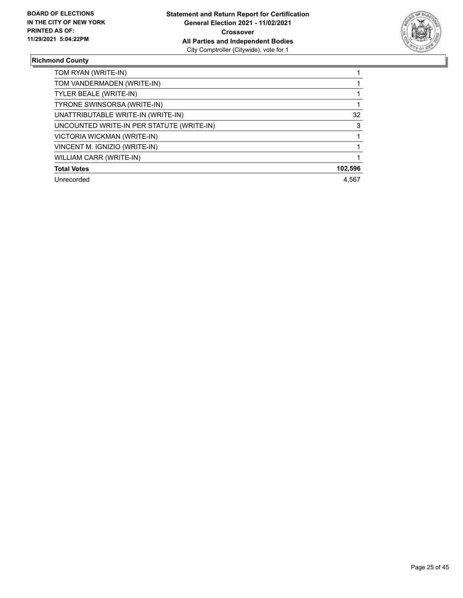

## **Richmond County**

| TOM RYAN (WRITE-IN)                       |         |
|-------------------------------------------|---------|
| TOM VANDERMADEN (WRITE-IN)                |         |
| TYLER BEALE (WRITE-IN)                    |         |
| TYRONE SWINSORSA (WRITE-IN)               |         |
| UNATTRIBUTABLE WRITE-IN (WRITE-IN)        | 32      |
| UNCOUNTED WRITE-IN PER STATUTE (WRITE-IN) | 3       |
| VICTORIA WICKMAN (WRITE-IN)               |         |
| VINCENT M. IGNIZIO (WRITE-IN)             |         |
| WILLIAM CARR (WRITE-IN)                   |         |
| <b>Total Votes</b>                        | 102,596 |
| Unrecorded                                | 4.567   |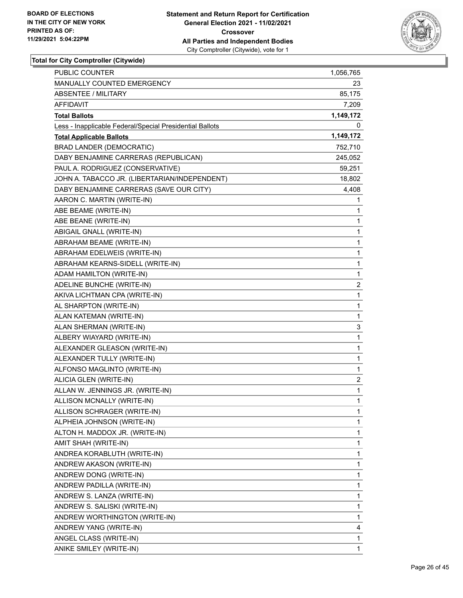

| <b>PUBLIC COUNTER</b>                                    | 1,056,765 |
|----------------------------------------------------------|-----------|
| <b>MANUALLY COUNTED EMERGENCY</b>                        | 23        |
| <b>ABSENTEE / MILITARY</b>                               | 85,175    |
| <b>AFFIDAVIT</b>                                         | 7,209     |
| <b>Total Ballots</b>                                     | 1,149,172 |
| Less - Inapplicable Federal/Special Presidential Ballots | 0         |
| <b>Total Applicable Ballots</b>                          | 1,149,172 |
| <b>BRAD LANDER (DEMOCRATIC)</b>                          | 752,710   |
| DABY BENJAMINE CARRERAS (REPUBLICAN)                     | 245,052   |
| PAUL A. RODRIGUEZ (CONSERVATIVE)                         | 59,251    |
| JOHN A. TABACCO JR. (LIBERTARIAN/INDEPENDENT)            | 18,802    |
| DABY BENJAMINE CARRERAS (SAVE OUR CITY)                  | 4,408     |
| AARON C. MARTIN (WRITE-IN)                               | 1         |
| ABE BEAME (WRITE-IN)                                     | 1         |
| ABE BEANE (WRITE-IN)                                     | 1         |
| ABIGAIL GNALL (WRITE-IN)                                 | 1         |
| ABRAHAM BEAME (WRITE-IN)                                 | 1         |
| ABRAHAM EDELWEIS (WRITE-IN)                              | 1         |
| ABRAHAM KEARNS-SIDELL (WRITE-IN)                         | 1         |
| ADAM HAMILTON (WRITE-IN)                                 | 1         |
| ADELINE BUNCHE (WRITE-IN)                                | 2         |
| AKIVA LICHTMAN CPA (WRITE-IN)                            | 1         |
| AL SHARPTON (WRITE-IN)                                   | 1         |
| ALAN KATEMAN (WRITE-IN)                                  | 1         |
| ALAN SHERMAN (WRITE-IN)                                  | 3         |
| ALBERY WIAYARD (WRITE-IN)                                | 1         |
| ALEXANDER GLEASON (WRITE-IN)                             | 1         |
| ALEXANDER TULLY (WRITE-IN)                               | 1         |
| ALFONSO MAGLINTO (WRITE-IN)                              | 1         |
| ALICIA GLEN (WRITE-IN)                                   | 2         |
| ALLAN W. JENNINGS JR. (WRITE-IN)                         | 1         |
| ALLISON MCNALLY (WRITE-IN)                               | 1         |
| ALLISON SCHRAGER (WRITE-IN)                              | 1         |
| ALPHEIA JOHNSON (WRITE-IN)                               | 1         |
| ALTON H. MADDOX JR. (WRITE-IN)                           | 1         |
| AMIT SHAH (WRITE-IN)                                     | 1         |
| ANDREA KORABLUTH (WRITE-IN)                              | 1         |
| ANDREW AKASON (WRITE-IN)                                 | 1         |
| ANDREW DONG (WRITE-IN)                                   | 1         |
| ANDREW PADILLA (WRITE-IN)                                | 1         |
| ANDREW S. LANZA (WRITE-IN)                               | 1         |
| ANDREW S. SALISKI (WRITE-IN)                             | 1         |
| ANDREW WORTHINGTON (WRITE-IN)                            | 1         |
| ANDREW YANG (WRITE-IN)                                   | 4         |
| ANGEL CLASS (WRITE-IN)                                   | 1         |
| ANIKE SMILEY (WRITE-IN)                                  | 1         |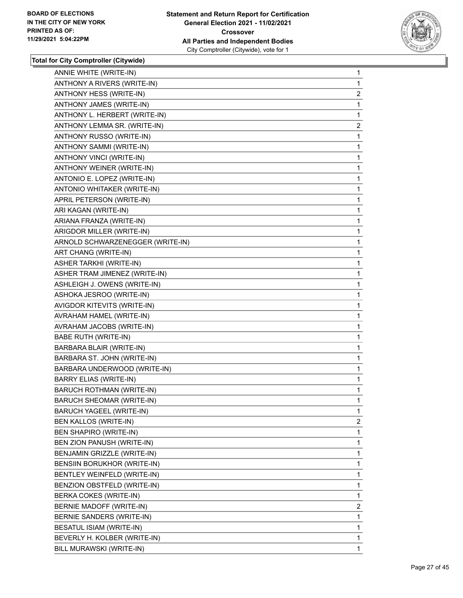

| ANNIE WHITE (WRITE-IN)           | $\mathbf{1}$   |
|----------------------------------|----------------|
| ANTHONY A RIVERS (WRITE-IN)      | 1              |
| ANTHONY HESS (WRITE-IN)          | $\overline{2}$ |
| ANTHONY JAMES (WRITE-IN)         | 1              |
| ANTHONY L. HERBERT (WRITE-IN)    | 1              |
| ANTHONY LEMMA SR. (WRITE-IN)     | $\overline{2}$ |
| ANTHONY RUSSO (WRITE-IN)         | 1              |
| ANTHONY SAMMI (WRITE-IN)         | 1              |
| ANTHONY VINCI (WRITE-IN)         | 1              |
| ANTHONY WEINER (WRITE-IN)        | 1              |
| ANTONIO E. LOPEZ (WRITE-IN)      | 1              |
| ANTONIO WHITAKER (WRITE-IN)      | 1              |
| APRIL PETERSON (WRITE-IN)        | 1              |
| ARI KAGAN (WRITE-IN)             | 1              |
| ARIANA FRANZA (WRITE-IN)         | 1              |
| ARIGDOR MILLER (WRITE-IN)        | 1              |
| ARNOLD SCHWARZENEGGER (WRITE-IN) | 1              |
| ART CHANG (WRITE-IN)             | 1              |
| ASHER TARKHI (WRITE-IN)          | 1              |
| ASHER TRAM JIMENEZ (WRITE-IN)    | 1              |
| ASHLEIGH J. OWENS (WRITE-IN)     | 1              |
| ASHOKA JESROO (WRITE-IN)         | 1              |
| AVIGDOR KITEVITS (WRITE-IN)      | 1              |
| AVRAHAM HAMEL (WRITE-IN)         | 1              |
| AVRAHAM JACOBS (WRITE-IN)        | 1              |
| <b>BABE RUTH (WRITE-IN)</b>      | 1              |
| BARBARA BLAIR (WRITE-IN)         | 1              |
| BARBARA ST. JOHN (WRITE-IN)      | 1              |
| BARBARA UNDERWOOD (WRITE-IN)     | 1              |
| <b>BARRY ELIAS (WRITE-IN)</b>    | 1              |
| <b>BARUCH ROTHMAN (WRITE-IN)</b> | 1              |
| <b>BARUCH SHEOMAR (WRITE-IN)</b> | 1              |
| BARUCH YAGEEL (WRITE-IN)         | $\mathbf{1}$   |
| BEN KALLOS (WRITE-IN)            | 2              |
| BEN SHAPIRO (WRITE-IN)           | 1              |
| BEN ZION PANUSH (WRITE-IN)       | 1              |
| BENJAMIN GRIZZLE (WRITE-IN)      | 1              |
| BENSIIN BORUKHOR (WRITE-IN)      | 1              |
| BENTLEY WEINFELD (WRITE-IN)      | 1              |
| BENZION OBSTFELD (WRITE-IN)      | 1              |
| BERKA COKES (WRITE-IN)           | 1              |
| BERNIE MADOFF (WRITE-IN)         | $\overline{2}$ |
| BERNIE SANDERS (WRITE-IN)        | 1              |
| BESATUL ISIAM (WRITE-IN)         | 1              |
| BEVERLY H. KOLBER (WRITE-IN)     | 1              |
| BILL MURAWSKI (WRITE-IN)         | 1              |
|                                  |                |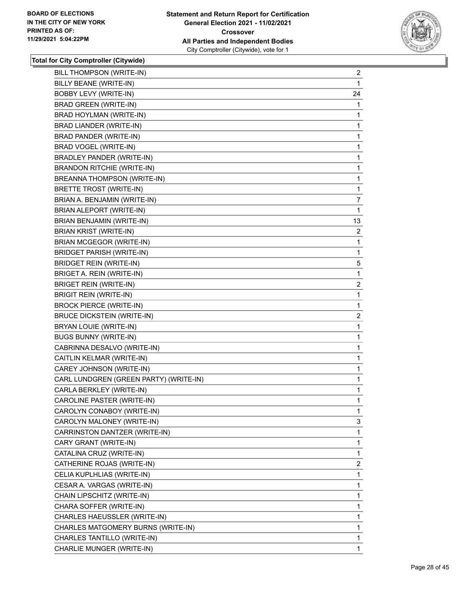

| BILL THOMPSON (WRITE-IN)               | $\overline{c}$ |
|----------------------------------------|----------------|
| BILLY BEANE (WRITE-IN)                 | 1              |
| BOBBY LEVY (WRITE-IN)                  | 24             |
| <b>BRAD GREEN (WRITE-IN)</b>           | 1              |
| BRAD HOYLMAN (WRITE-IN)                | 1              |
| BRAD LIANDER (WRITE-IN)                | 1              |
| BRAD PANDER (WRITE-IN)                 | 1              |
| BRAD VOGEL (WRITE-IN)                  | 1              |
| BRADLEY PANDER (WRITE-IN)              | 1              |
| <b>BRANDON RITCHIE (WRITE-IN)</b>      | 1              |
| BREANNA THOMPSON (WRITE-IN)            | 1              |
| BRETTE TROST (WRITE-IN)                | 1              |
| BRIAN A. BENJAMIN (WRITE-IN)           | 7              |
| BRIAN ALEPORT (WRITE-IN)               | 1              |
| BRIAN BENJAMIN (WRITE-IN)              | 13             |
| <b>BRIAN KRIST (WRITE-IN)</b>          | 2              |
| BRIAN MCGEGOR (WRITE-IN)               | 1              |
| <b>BRIDGET PARISH (WRITE-IN)</b>       | 1              |
| <b>BRIDGET REIN (WRITE-IN)</b>         | 5              |
| BRIGET A. REIN (WRITE-IN)              | 1              |
| <b>BRIGET REIN (WRITE-IN)</b>          | $\overline{2}$ |
| <b>BRIGIT REIN (WRITE-IN)</b>          | 1              |
| <b>BROCK PIERCE (WRITE-IN)</b>         | 1              |
| <b>BRUCE DICKSTEIN (WRITE-IN)</b>      | 2              |
| BRYAN LOUIE (WRITE-IN)                 | 1              |
| <b>BUGS BUNNY (WRITE-IN)</b>           | 1              |
| CABRINNA DESALVO (WRITE-IN)            | 1              |
| CAITLIN KELMAR (WRITE-IN)              | 1              |
| CAREY JOHNSON (WRITE-IN)               | 1              |
| CARL LUNDGREN (GREEN PARTY) (WRITE-IN) | 1              |
| CARLA BERKLEY (WRITE-IN)               | 1              |
| CAROLINE PASTER (WRITE-IN)             | 1              |
| CAROLYN CONABOY (WRITE-IN)             | 1              |
| CAROLYN MALONEY (WRITE-IN)             | 3              |
| CARRINSTON DANTZER (WRITE-IN)          | 1              |
| CARY GRANT (WRITE-IN)                  | 1              |
| CATALINA CRUZ (WRITE-IN)               | 1              |
| CATHERINE ROJAS (WRITE-IN)             | $\overline{2}$ |
| CELIA KUPLHLIAS (WRITE-IN)             | 1              |
| CESAR A. VARGAS (WRITE-IN)             | 1              |
| CHAIN LIPSCHITZ (WRITE-IN)             | 1              |
| CHARA SOFFER (WRITE-IN)                | 1              |
| CHARLES HAEUSSLER (WRITE-IN)           | 1              |
| CHARLES MATGOMERY BURNS (WRITE-IN)     | 1              |
| CHARLES TANTILLO (WRITE-IN)            | 1              |
| CHARLIE MUNGER (WRITE-IN)              | 1.             |
|                                        |                |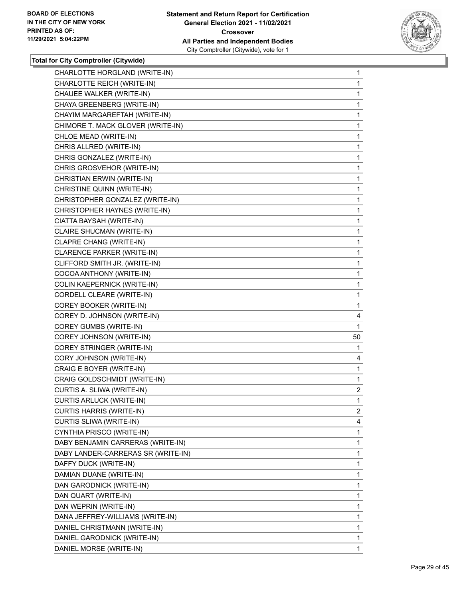

| CHARLOTTE HORGLAND (WRITE-IN)      | $\mathbf{1}$   |
|------------------------------------|----------------|
| CHARLOTTE REICH (WRITE-IN)         | $\mathbf{1}$   |
| CHAUEE WALKER (WRITE-IN)           | 1              |
| CHAYA GREENBERG (WRITE-IN)         | 1              |
| CHAYIM MARGAREFTAH (WRITE-IN)      | 1              |
| CHIMORE T. MACK GLOVER (WRITE-IN)  | 1              |
| CHLOE MEAD (WRITE-IN)              | $\mathbf{1}$   |
| CHRIS ALLRED (WRITE-IN)            | 1              |
| CHRIS GONZALEZ (WRITE-IN)          | 1              |
| CHRIS GROSVEHOR (WRITE-IN)         | 1              |
| CHRISTIAN ERWIN (WRITE-IN)         | 1              |
| CHRISTINE QUINN (WRITE-IN)         | 1              |
| CHRISTOPHER GONZALEZ (WRITE-IN)    | $\mathbf{1}$   |
| CHRISTOPHER HAYNES (WRITE-IN)      | 1              |
| CIATTA BAYSAH (WRITE-IN)           | 1              |
| CLAIRE SHUCMAN (WRITE-IN)          | 1              |
| CLAPRE CHANG (WRITE-IN)            | 1              |
| <b>CLARENCE PARKER (WRITE-IN)</b>  | 1              |
| CLIFFORD SMITH JR. (WRITE-IN)      | $\mathbf{1}$   |
| COCOA ANTHONY (WRITE-IN)           | 1              |
| COLIN KAEPERNICK (WRITE-IN)        | 1              |
| CORDELL CLEARE (WRITE-IN)          | 1              |
| COREY BOOKER (WRITE-IN)            | 1              |
| COREY D. JOHNSON (WRITE-IN)        | 4              |
| COREY GUMBS (WRITE-IN)             | 1              |
| COREY JOHNSON (WRITE-IN)           | 50             |
| COREY STRINGER (WRITE-IN)          | 1              |
| CORY JOHNSON (WRITE-IN)            | 4              |
| CRAIG E BOYER (WRITE-IN)           | 1              |
| CRAIG GOLDSCHMIDT (WRITE-IN)       | $\mathbf{1}$   |
| CURTIS A. SLIWA (WRITE-IN)         | $\overline{2}$ |
| CURTIS ARLUCK (WRITE-IN)           | 1              |
| CURTIS HARRIS (WRITE-IN)           | $\mathbf{2}$   |
| CURTIS SLIWA (WRITE-IN)            | 4              |
| CYNTHIA PRISCO (WRITE-IN)          | 1              |
| DABY BENJAMIN CARRERAS (WRITE-IN)  | 1              |
| DABY LANDER-CARRERAS SR (WRITE-IN) | 1              |
| DAFFY DUCK (WRITE-IN)              | 1              |
| DAMIAN DUANE (WRITE-IN)            | 1              |
| DAN GARODNICK (WRITE-IN)           | 1              |
| DAN QUART (WRITE-IN)               | 1              |
| DAN WEPRIN (WRITE-IN)              | 1              |
| DANA JEFFREY-WILLIAMS (WRITE-IN)   | 1              |
| DANIEL CHRISTMANN (WRITE-IN)       | 1              |
| DANIEL GARODNICK (WRITE-IN)        | 1              |
| DANIEL MORSE (WRITE-IN)            | 1.             |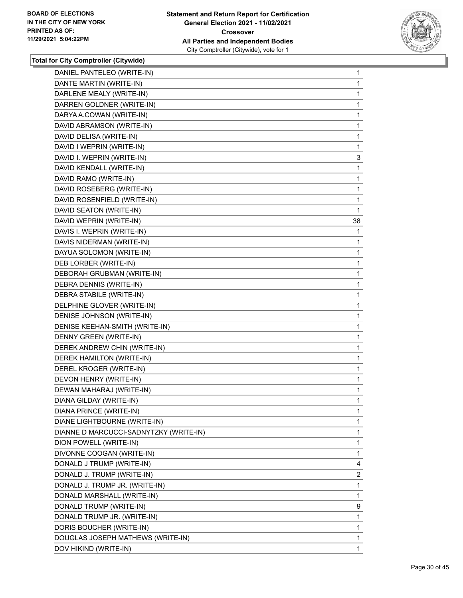

| DANIEL PANTELEO (WRITE-IN)             | 1              |
|----------------------------------------|----------------|
| DANTE MARTIN (WRITE-IN)                | 1              |
| DARLENE MEALY (WRITE-IN)               | 1              |
| DARREN GOLDNER (WRITE-IN)              | 1              |
| DARYA A.COWAN (WRITE-IN)               | 1              |
| DAVID ABRAMSON (WRITE-IN)              | 1              |
| DAVID DELISA (WRITE-IN)                | 1              |
| DAVID I WEPRIN (WRITE-IN)              | 1              |
| DAVID I. WEPRIN (WRITE-IN)             | 3              |
| DAVID KENDALL (WRITE-IN)               | 1              |
| DAVID RAMO (WRITE-IN)                  | 1              |
| DAVID ROSEBERG (WRITE-IN)              | 1              |
| DAVID ROSENFIELD (WRITE-IN)            | 1              |
| DAVID SEATON (WRITE-IN)                | 1              |
| DAVID WEPRIN (WRITE-IN)                | 38             |
| DAVIS I. WEPRIN (WRITE-IN)             | 1              |
| DAVIS NIDERMAN (WRITE-IN)              | 1              |
| DAYUA SOLOMON (WRITE-IN)               | 1              |
| DEB LORBER (WRITE-IN)                  | 1              |
| DEBORAH GRUBMAN (WRITE-IN)             | 1              |
| DEBRA DENNIS (WRITE-IN)                | 1              |
| DEBRA STABILE (WRITE-IN)               | 1              |
| DELPHINE GLOVER (WRITE-IN)             | 1              |
| DENISE JOHNSON (WRITE-IN)              | 1              |
| DENISE KEEHAN-SMITH (WRITE-IN)         | 1              |
| DENNY GREEN (WRITE-IN)                 | 1              |
| DEREK ANDREW CHIN (WRITE-IN)           | 1              |
| DEREK HAMILTON (WRITE-IN)              | 1              |
| DEREL KROGER (WRITE-IN)                | 1              |
| DEVON HENRY (WRITE-IN)                 | 1              |
| DEWAN MAHARAJ (WRITE-IN)               | 1              |
| DIANA GILDAY (WRITE-IN)                | 1              |
| DIANA PRINCE (WRITE-IN)                | 1              |
| DIANE LIGHTBOURNE (WRITE-IN)           | 1              |
| DIANNE D MARCUCCI-SADNYTZKY (WRITE-IN) | 1              |
| DION POWELL (WRITE-IN)                 | 1              |
| DIVONNE COOGAN (WRITE-IN)              | 1              |
| DONALD J TRUMP (WRITE-IN)              | 4              |
| DONALD J. TRUMP (WRITE-IN)             | $\overline{2}$ |
| DONALD J. TRUMP JR. (WRITE-IN)         | 1              |
| DONALD MARSHALL (WRITE-IN)             | 1              |
| DONALD TRUMP (WRITE-IN)                | 9              |
| DONALD TRUMP JR. (WRITE-IN)            | 1              |
| DORIS BOUCHER (WRITE-IN)               | 1              |
| DOUGLAS JOSEPH MATHEWS (WRITE-IN)      | 1              |
| DOV HIKIND (WRITE-IN)                  | 1              |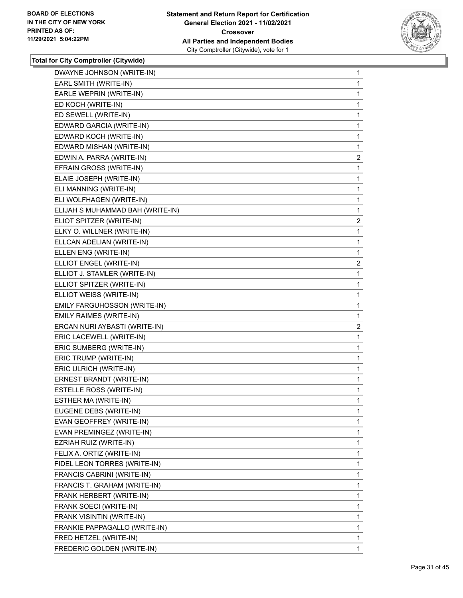

| DWAYNE JOHNSON (WRITE-IN)        | 1              |
|----------------------------------|----------------|
| EARL SMITH (WRITE-IN)            | 1              |
| EARLE WEPRIN (WRITE-IN)          | 1              |
| ED KOCH (WRITE-IN)               | 1              |
| ED SEWELL (WRITE-IN)             | 1              |
| EDWARD GARCIA (WRITE-IN)         | 1              |
| EDWARD KOCH (WRITE-IN)           | 1              |
| EDWARD MISHAN (WRITE-IN)         | 1              |
| EDWIN A. PARRA (WRITE-IN)        | $\overline{2}$ |
| EFRAIN GROSS (WRITE-IN)          | 1              |
| ELAIE JOSEPH (WRITE-IN)          | 1              |
| ELI MANNING (WRITE-IN)           | 1              |
| ELI WOLFHAGEN (WRITE-IN)         | 1              |
| ELIJAH S MUHAMMAD BAH (WRITE-IN) | 1              |
| ELIOT SPITZER (WRITE-IN)         | $\overline{2}$ |
| ELKY O. WILLNER (WRITE-IN)       | 1              |
| ELLCAN ADELIAN (WRITE-IN)        | 1              |
| ELLEN ENG (WRITE-IN)             | 1              |
| ELLIOT ENGEL (WRITE-IN)          | $\mathbf{2}$   |
| ELLIOT J. STAMLER (WRITE-IN)     | 1              |
| ELLIOT SPITZER (WRITE-IN)        | 1              |
| ELLIOT WEISS (WRITE-IN)          | 1              |
| EMILY FARGUHOSSON (WRITE-IN)     | 1              |
| EMILY RAIMES (WRITE-IN)          | 1              |
| ERCAN NURI AYBASTI (WRITE-IN)    | $\mathbf{2}$   |
| ERIC LACEWELL (WRITE-IN)         | 1              |
| ERIC SUMBERG (WRITE-IN)          | 1              |
| ERIC TRUMP (WRITE-IN)            | 1              |
| ERIC ULRICH (WRITE-IN)           | 1              |
| ERNEST BRANDT (WRITE-IN)         | 1              |
| ESTELLE ROSS (WRITE-IN)          | 1              |
| ESTHER MA (WRITE-IN)             | 1              |
| EUGENE DEBS (WRITE-IN)           | 1              |
| EVAN GEOFFREY (WRITE-IN)         | 1              |
| EVAN PREMINGEZ (WRITE-IN)        | 1              |
| EZRIAH RUIZ (WRITE-IN)           | 1              |
| FELIX A. ORTIZ (WRITE-IN)        | 1              |
| FIDEL LEON TORRES (WRITE-IN)     | 1              |
| FRANCIS CABRINI (WRITE-IN)       | 1              |
| FRANCIS T. GRAHAM (WRITE-IN)     | 1              |
| FRANK HERBERT (WRITE-IN)         | 1              |
| FRANK SOECI (WRITE-IN)           | 1              |
| FRANK VISINTIN (WRITE-IN)        | 1              |
| FRANKIE PAPPAGALLO (WRITE-IN)    | 1              |
| FRED HETZEL (WRITE-IN)           | 1              |
| FREDERIC GOLDEN (WRITE-IN)       | 1              |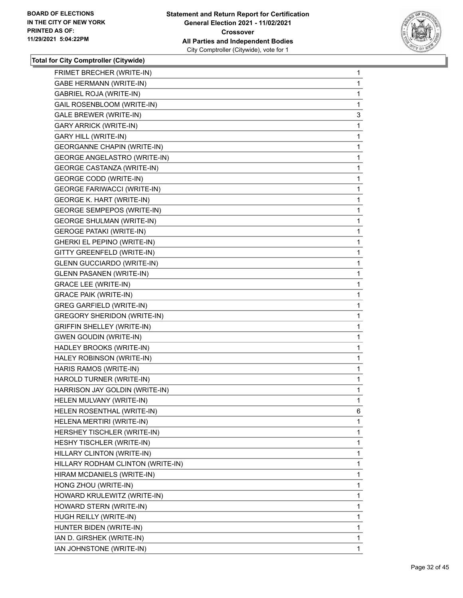

| FRIMET BRECHER (WRITE-IN)           | $\mathbf{1}$ |
|-------------------------------------|--------------|
| <b>GABE HERMANN (WRITE-IN)</b>      | 1            |
| <b>GABRIEL ROJA (WRITE-IN)</b>      | 1            |
| GAIL ROSENBLOOM (WRITE-IN)          | 1            |
| <b>GALE BREWER (WRITE-IN)</b>       | 3            |
| <b>GARY ARRICK (WRITE-IN)</b>       | 1            |
| <b>GARY HILL (WRITE-IN)</b>         | 1            |
| <b>GEORGANNE CHAPIN (WRITE-IN)</b>  | 1            |
| <b>GEORGE ANGELASTRO (WRITE-IN)</b> | 1            |
| <b>GEORGE CASTANZA (WRITE-IN)</b>   | 1            |
| <b>GEORGE CODD (WRITE-IN)</b>       | 1            |
| <b>GEORGE FARIWACCI (WRITE-IN)</b>  | 1            |
| <b>GEORGE K. HART (WRITE-IN)</b>    | 1            |
| <b>GEORGE SEMPEPOS (WRITE-IN)</b>   | 1            |
| <b>GEORGE SHULMAN (WRITE-IN)</b>    | 1            |
| <b>GEROGE PATAKI (WRITE-IN)</b>     | 1            |
| GHERKI EL PEPINO (WRITE-IN)         | 1            |
| GITTY GREENFELD (WRITE-IN)          | 1            |
| <b>GLENN GUCCIARDO (WRITE-IN)</b>   | 1            |
| <b>GLENN PASANEN (WRITE-IN)</b>     | 1            |
| <b>GRACE LEE (WRITE-IN)</b>         | 1            |
| <b>GRACE PAIK (WRITE-IN)</b>        | 1            |
| <b>GREG GARFIELD (WRITE-IN)</b>     | 1            |
| <b>GREGORY SHERIDON (WRITE-IN)</b>  | 1            |
| <b>GRIFFIN SHELLEY (WRITE-IN)</b>   | $\mathbf{1}$ |
| <b>GWEN GOUDIN (WRITE-IN)</b>       | 1            |
| HADLEY BROOKS (WRITE-IN)            | 1            |
| HALEY ROBINSON (WRITE-IN)           | 1.           |
| HARIS RAMOS (WRITE-IN)              | 1            |
| HAROLD TURNER (WRITE-IN)            | 1            |
| HARRISON JAY GOLDIN (WRITE-IN)      | $\mathbf{1}$ |
| HELEN MULVANY (WRITE-IN)            | 1            |
| HELEN ROSENTHAL (WRITE-IN)          | 6            |
| HELENA MERTIRI (WRITE-IN)           | 1            |
| HERSHEY TISCHLER (WRITE-IN)         | 1            |
| HESHY TISCHLER (WRITE-IN)           | 1            |
| HILLARY CLINTON (WRITE-IN)          | 1            |
| HILLARY RODHAM CLINTON (WRITE-IN)   | 1            |
| HIRAM MCDANIELS (WRITE-IN)          | 1            |
| HONG ZHOU (WRITE-IN)                | 1            |
| HOWARD KRULEWITZ (WRITE-IN)         | 1            |
| HOWARD STERN (WRITE-IN)             | 1            |
| HUGH REILLY (WRITE-IN)              | 1            |
| HUNTER BIDEN (WRITE-IN)             | 1            |
| IAN D. GIRSHEK (WRITE-IN)           | 1            |
| IAN JOHNSTONE (WRITE-IN)            | 1.           |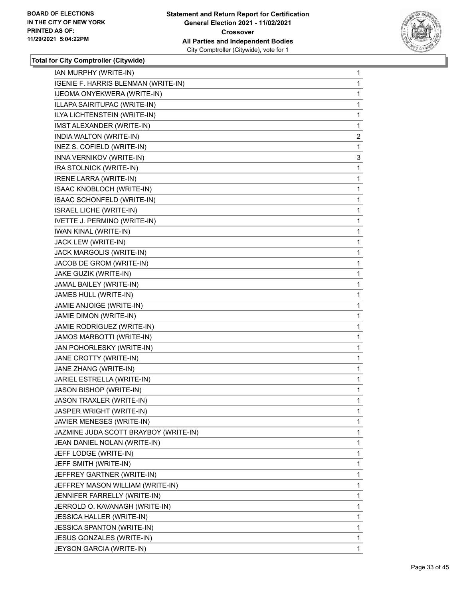

| IAN MURPHY (WRITE-IN)                 | 1              |
|---------------------------------------|----------------|
| IGENIE F. HARRIS BLENMAN (WRITE-IN)   | 1              |
| IJEOMA ONYEKWERA (WRITE-IN)           | 1              |
| ILLAPA SAIRITUPAC (WRITE-IN)          | 1              |
| ILYA LICHTENSTEIN (WRITE-IN)          | 1              |
| IMST ALEXANDER (WRITE-IN)             | 1              |
| INDIA WALTON (WRITE-IN)               | $\overline{c}$ |
| INEZ S. COFIELD (WRITE-IN)            | 1              |
| INNA VERNIKOV (WRITE-IN)              | 3              |
| IRA STOLNICK (WRITE-IN)               | 1              |
| <b>IRENE LARRA (WRITE-IN)</b>         | 1              |
| ISAAC KNOBLOCH (WRITE-IN)             | 1              |
| ISAAC SCHONFELD (WRITE-IN)            | 1              |
| ISRAEL LICHE (WRITE-IN)               | 1              |
| IVETTE J. PERMINO (WRITE-IN)          | 1              |
| IWAN KINAL (WRITE-IN)                 | 1              |
| JACK LEW (WRITE-IN)                   | 1              |
| JACK MARGOLIS (WRITE-IN)              | 1              |
| JACOB DE GROM (WRITE-IN)              | 1              |
| JAKE GUZIK (WRITE-IN)                 | 1              |
| JAMAL BAILEY (WRITE-IN)               | 1              |
| JAMES HULL (WRITE-IN)                 | 1              |
| JAMIE ANJOIGE (WRITE-IN)              | 1              |
| JAMIE DIMON (WRITE-IN)                | 1              |
| JAMIE RODRIGUEZ (WRITE-IN)            | 1              |
| JAMOS MARBOTTI (WRITE-IN)             | 1              |
| JAN POHORLESKY (WRITE-IN)             | 1              |
| JANE CROTTY (WRITE-IN)                | 1              |
| JANE ZHANG (WRITE-IN)                 | 1              |
| JARIEL ESTRELLA (WRITE-IN)            | 1              |
| JASON BISHOP (WRITE-IN)               | 1              |
| JASON TRAXLER (WRITE-IN)              | $\mathbf{1}$   |
| JASPER WRIGHT (WRITE-IN)              | 1              |
| JAVIER MENESES (WRITE-IN)             | 1              |
| JAZMINE JUDA SCOTT BRAYBOY (WRITE-IN) | 1              |
| JEAN DANIEL NOLAN (WRITE-IN)          | 1              |
| JEFF LODGE (WRITE-IN)                 | 1              |
| JEFF SMITH (WRITE-IN)                 | 1              |
| JEFFREY GARTNER (WRITE-IN)            | 1              |
| JEFFREY MASON WILLIAM (WRITE-IN)      | 1              |
| JENNIFER FARRELLY (WRITE-IN)          | 1              |
| JERROLD O. KAVANAGH (WRITE-IN)        | 1              |
| <b>JESSICA HALLER (WRITE-IN)</b>      | 1              |
| <b>JESSICA SPANTON (WRITE-IN)</b>     | 1              |
| JESUS GONZALES (WRITE-IN)             | 1              |
| JEYSON GARCIA (WRITE-IN)              | 1              |
|                                       |                |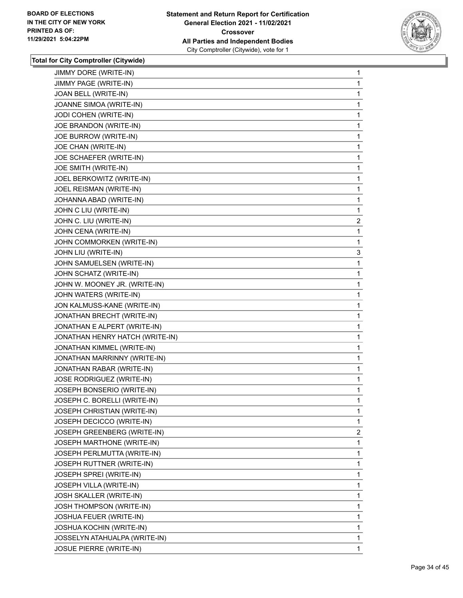

| JIMMY DORE (WRITE-IN)              | 1              |
|------------------------------------|----------------|
| JIMMY PAGE (WRITE-IN)              | 1              |
| JOAN BELL (WRITE-IN)               | 1              |
| JOANNE SIMOA (WRITE-IN)            | 1              |
| JODI COHEN (WRITE-IN)              | 1              |
| JOE BRANDON (WRITE-IN)             | 1              |
| JOE BURROW (WRITE-IN)              | 1              |
| JOE CHAN (WRITE-IN)                | 1              |
| JOE SCHAEFER (WRITE-IN)            | 1              |
| JOE SMITH (WRITE-IN)               | 1              |
| JOEL BERKOWITZ (WRITE-IN)          | 1              |
| JOEL REISMAN (WRITE-IN)            | 1              |
| JOHANNA ABAD (WRITE-IN)            | 1              |
| JOHN C LIU (WRITE-IN)              | 1              |
| JOHN C. LIU (WRITE-IN)             | $\overline{c}$ |
| JOHN CENA (WRITE-IN)               | 1              |
| JOHN COMMORKEN (WRITE-IN)          | 1              |
| JOHN LIU (WRITE-IN)                | 3              |
| JOHN SAMUELSEN (WRITE-IN)          | 1              |
| JOHN SCHATZ (WRITE-IN)             | 1              |
| JOHN W. MOONEY JR. (WRITE-IN)      | 1              |
| JOHN WATERS (WRITE-IN)             | 1              |
| JON KALMUSS-KANE (WRITE-IN)        | 1              |
| JONATHAN BRECHT (WRITE-IN)         | 1              |
| JONATHAN E ALPERT (WRITE-IN)       | 1              |
| JONATHAN HENRY HATCH (WRITE-IN)    | 1              |
| JONATHAN KIMMEL (WRITE-IN)         | 1              |
| JONATHAN MARRINNY (WRITE-IN)       | 1              |
| JONATHAN RABAR (WRITE-IN)          | 1              |
| JOSE RODRIGUEZ (WRITE-IN)          | 1              |
| JOSEPH BONSERIO (WRITE-IN)         | 1              |
| JOSEPH C. BORELLI (WRITE-IN)       | 1              |
| JOSEPH CHRISTIAN (WRITE-IN)        | 1              |
| JOSEPH DECICCO (WRITE-IN)          | $\mathbf{1}$   |
| <b>JOSEPH GREENBERG (WRITE-IN)</b> | 2              |
| JOSEPH MARTHONE (WRITE-IN)         | 1              |
| <b>JOSEPH PERLMUTTA (WRITE-IN)</b> | 1              |
| JOSEPH RUTTNER (WRITE-IN)          | 1              |
| JOSEPH SPREI (WRITE-IN)            | 1              |
| JOSEPH VILLA (WRITE-IN)            | 1              |
| <b>JOSH SKALLER (WRITE-IN)</b>     | 1              |
| JOSH THOMPSON (WRITE-IN)           | 1              |
| JOSHUA FEUER (WRITE-IN)            | 1              |
| JOSHUA KOCHIN (WRITE-IN)           | 1              |
| JOSSELYN ATAHUALPA (WRITE-IN)      | 1              |
| JOSUE PIERRE (WRITE-IN)            | $\mathbf 1$    |
|                                    |                |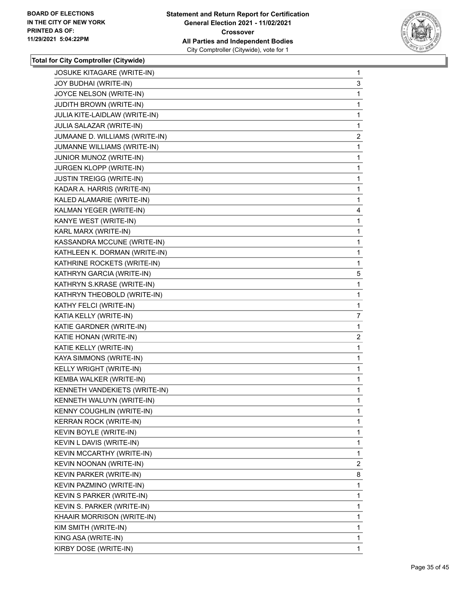

| 3<br>1<br>1<br>1<br>1 |
|-----------------------|
|                       |
|                       |
|                       |
|                       |
|                       |
| $\overline{2}$        |
| 1                     |
| 1                     |
| 1                     |
| 1                     |
| 1                     |
| 1                     |
| 4                     |
| 1                     |
| 1                     |
| 1                     |
| 1                     |
| 1                     |
| 5                     |
| 1                     |
| 1                     |
| 1                     |
| 7                     |
| 1                     |
| $\overline{c}$        |
| 1                     |
| 1                     |
|                       |
| 1                     |
| 1                     |
| 1                     |
| 1                     |
| 1                     |
| 1                     |
| 1                     |
| 1                     |
| 1                     |
| $\overline{2}$        |
| 8                     |
| 1                     |
| 1                     |
| 1                     |
| 1                     |
| $\mathbf{1}$          |
| 1                     |
|                       |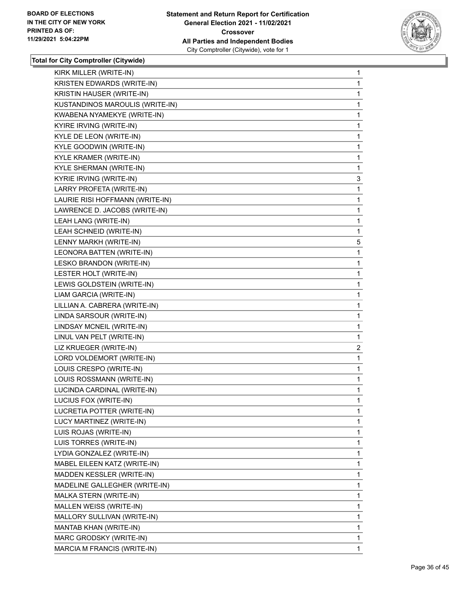

| KIRK MILLER (WRITE-IN)        | $\mathbf{1}$                                                                                                                                                                                                                                                                                                                                                                                                                                                                                                                                                                                                                                        |
|-------------------------------|-----------------------------------------------------------------------------------------------------------------------------------------------------------------------------------------------------------------------------------------------------------------------------------------------------------------------------------------------------------------------------------------------------------------------------------------------------------------------------------------------------------------------------------------------------------------------------------------------------------------------------------------------------|
|                               | 1                                                                                                                                                                                                                                                                                                                                                                                                                                                                                                                                                                                                                                                   |
|                               | 1                                                                                                                                                                                                                                                                                                                                                                                                                                                                                                                                                                                                                                                   |
|                               | 1                                                                                                                                                                                                                                                                                                                                                                                                                                                                                                                                                                                                                                                   |
|                               | 1                                                                                                                                                                                                                                                                                                                                                                                                                                                                                                                                                                                                                                                   |
|                               | 1                                                                                                                                                                                                                                                                                                                                                                                                                                                                                                                                                                                                                                                   |
|                               | $\mathbf{1}$                                                                                                                                                                                                                                                                                                                                                                                                                                                                                                                                                                                                                                        |
|                               | 1                                                                                                                                                                                                                                                                                                                                                                                                                                                                                                                                                                                                                                                   |
|                               | 1                                                                                                                                                                                                                                                                                                                                                                                                                                                                                                                                                                                                                                                   |
|                               | 1                                                                                                                                                                                                                                                                                                                                                                                                                                                                                                                                                                                                                                                   |
|                               | 3                                                                                                                                                                                                                                                                                                                                                                                                                                                                                                                                                                                                                                                   |
|                               | 1                                                                                                                                                                                                                                                                                                                                                                                                                                                                                                                                                                                                                                                   |
|                               | $\mathbf{1}$                                                                                                                                                                                                                                                                                                                                                                                                                                                                                                                                                                                                                                        |
|                               | 1                                                                                                                                                                                                                                                                                                                                                                                                                                                                                                                                                                                                                                                   |
|                               | 1                                                                                                                                                                                                                                                                                                                                                                                                                                                                                                                                                                                                                                                   |
|                               | 1                                                                                                                                                                                                                                                                                                                                                                                                                                                                                                                                                                                                                                                   |
|                               | 5                                                                                                                                                                                                                                                                                                                                                                                                                                                                                                                                                                                                                                                   |
|                               | 1                                                                                                                                                                                                                                                                                                                                                                                                                                                                                                                                                                                                                                                   |
|                               | $\mathbf{1}$                                                                                                                                                                                                                                                                                                                                                                                                                                                                                                                                                                                                                                        |
|                               | 1                                                                                                                                                                                                                                                                                                                                                                                                                                                                                                                                                                                                                                                   |
|                               | 1                                                                                                                                                                                                                                                                                                                                                                                                                                                                                                                                                                                                                                                   |
|                               | 1                                                                                                                                                                                                                                                                                                                                                                                                                                                                                                                                                                                                                                                   |
|                               | 1                                                                                                                                                                                                                                                                                                                                                                                                                                                                                                                                                                                                                                                   |
| LINDA SARSOUR (WRITE-IN)      |                                                                                                                                                                                                                                                                                                                                                                                                                                                                                                                                                                                                                                                     |
|                               | 1                                                                                                                                                                                                                                                                                                                                                                                                                                                                                                                                                                                                                                                   |
| LINDSAY MCNEIL (WRITE-IN)     | $\mathbf{1}$                                                                                                                                                                                                                                                                                                                                                                                                                                                                                                                                                                                                                                        |
| LINUL VAN PELT (WRITE-IN)     | 1                                                                                                                                                                                                                                                                                                                                                                                                                                                                                                                                                                                                                                                   |
| LIZ KRUEGER (WRITE-IN)        | $\mathbf{2}$                                                                                                                                                                                                                                                                                                                                                                                                                                                                                                                                                                                                                                        |
| LORD VOLDEMORT (WRITE-IN)     | $\mathbf 1$                                                                                                                                                                                                                                                                                                                                                                                                                                                                                                                                                                                                                                         |
| LOUIS CRESPO (WRITE-IN)       | 1                                                                                                                                                                                                                                                                                                                                                                                                                                                                                                                                                                                                                                                   |
| LOUIS ROSSMANN (WRITE-IN)     | 1                                                                                                                                                                                                                                                                                                                                                                                                                                                                                                                                                                                                                                                   |
| LUCINDA CARDINAL (WRITE-IN)   | $\mathbf{1}$                                                                                                                                                                                                                                                                                                                                                                                                                                                                                                                                                                                                                                        |
| LUCIUS FOX (WRITE-IN)         | 1                                                                                                                                                                                                                                                                                                                                                                                                                                                                                                                                                                                                                                                   |
| LUCRETIA POTTER (WRITE-IN)    | 1                                                                                                                                                                                                                                                                                                                                                                                                                                                                                                                                                                                                                                                   |
| LUCY MARTINEZ (WRITE-IN)      | 1                                                                                                                                                                                                                                                                                                                                                                                                                                                                                                                                                                                                                                                   |
| LUIS ROJAS (WRITE-IN)         | 1                                                                                                                                                                                                                                                                                                                                                                                                                                                                                                                                                                                                                                                   |
| LUIS TORRES (WRITE-IN)        | 1                                                                                                                                                                                                                                                                                                                                                                                                                                                                                                                                                                                                                                                   |
| LYDIA GONZALEZ (WRITE-IN)     | 1                                                                                                                                                                                                                                                                                                                                                                                                                                                                                                                                                                                                                                                   |
| MABEL EILEEN KATZ (WRITE-IN)  | 1                                                                                                                                                                                                                                                                                                                                                                                                                                                                                                                                                                                                                                                   |
| MADDEN KESSLER (WRITE-IN)     | 1                                                                                                                                                                                                                                                                                                                                                                                                                                                                                                                                                                                                                                                   |
| MADELINE GALLEGHER (WRITE-IN) | 1                                                                                                                                                                                                                                                                                                                                                                                                                                                                                                                                                                                                                                                   |
| MALKA STERN (WRITE-IN)        | 1                                                                                                                                                                                                                                                                                                                                                                                                                                                                                                                                                                                                                                                   |
| MALLEN WEISS (WRITE-IN)       | 1                                                                                                                                                                                                                                                                                                                                                                                                                                                                                                                                                                                                                                                   |
| MALLORY SULLIVAN (WRITE-IN)   | 1                                                                                                                                                                                                                                                                                                                                                                                                                                                                                                                                                                                                                                                   |
| MANTAB KHAN (WRITE-IN)        | 1                                                                                                                                                                                                                                                                                                                                                                                                                                                                                                                                                                                                                                                   |
| MARC GRODSKY (WRITE-IN)       | 1                                                                                                                                                                                                                                                                                                                                                                                                                                                                                                                                                                                                                                                   |
|                               | KRISTEN EDWARDS (WRITE-IN)<br>KRISTIN HAUSER (WRITE-IN)<br>KUSTANDINOS MAROULIS (WRITE-IN)<br>KWABENA NYAMEKYE (WRITE-IN)<br>KYIRE IRVING (WRITE-IN)<br>KYLE DE LEON (WRITE-IN)<br>KYLE GOODWIN (WRITE-IN)<br>KYLE KRAMER (WRITE-IN)<br>KYLE SHERMAN (WRITE-IN)<br>KYRIE IRVING (WRITE-IN)<br>LARRY PROFETA (WRITE-IN)<br>LAURIE RISI HOFFMANN (WRITE-IN)<br>LAWRENCE D. JACOBS (WRITE-IN)<br>LEAH LANG (WRITE-IN)<br>LEAH SCHNEID (WRITE-IN)<br>LENNY MARKH (WRITE-IN)<br>LEONORA BATTEN (WRITE-IN)<br>LESKO BRANDON (WRITE-IN)<br>LESTER HOLT (WRITE-IN)<br>LEWIS GOLDSTEIN (WRITE-IN)<br>LIAM GARCIA (WRITE-IN)<br>LILLIAN A. CABRERA (WRITE-IN) |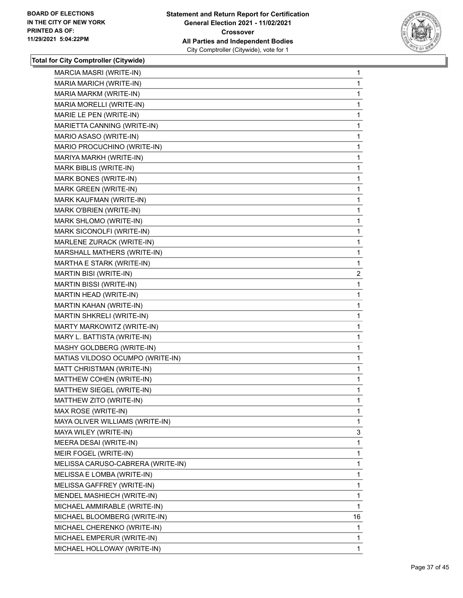

| MARCIA MASRI (WRITE-IN)           | 1              |
|-----------------------------------|----------------|
| MARIA MARICH (WRITE-IN)           | 1              |
| MARIA MARKM (WRITE-IN)            | 1              |
| MARIA MORELLI (WRITE-IN)          | 1              |
| MARIE LE PEN (WRITE-IN)           | 1              |
| MARIETTA CANNING (WRITE-IN)       | 1              |
| MARIO ASASO (WRITE-IN)            | 1              |
| MARIO PROCUCHINO (WRITE-IN)       | 1              |
| MARIYA MARKH (WRITE-IN)           | 1              |
| MARK BIBLIS (WRITE-IN)            | 1              |
| MARK BONES (WRITE-IN)             | 1              |
| MARK GREEN (WRITE-IN)             | 1              |
| MARK KAUFMAN (WRITE-IN)           | 1              |
| MARK O'BRIEN (WRITE-IN)           | 1              |
| MARK SHLOMO (WRITE-IN)            | 1              |
| MARK SICONOLFI (WRITE-IN)         | 1              |
| MARLENE ZURACK (WRITE-IN)         | 1              |
| MARSHALL MATHERS (WRITE-IN)       | 1              |
| MARTHA E STARK (WRITE-IN)         | 1              |
| MARTIN BISI (WRITE-IN)            | $\overline{2}$ |
| MARTIN BISSI (WRITE-IN)           | 1              |
| MARTIN HEAD (WRITE-IN)            | 1              |
| MARTIN KAHAN (WRITE-IN)           | 1              |
| MARTIN SHKRELI (WRITE-IN)         | 1              |
| MARTY MARKOWITZ (WRITE-IN)        | 1              |
| MARY L. BATTISTA (WRITE-IN)       | 1              |
| MASHY GOLDBERG (WRITE-IN)         | 1              |
| MATIAS VILDOSO OCUMPO (WRITE-IN)  | 1              |
| MATT CHRISTMAN (WRITE-IN)         | 1              |
| MATTHEW COHEN (WRITE-IN)          | 1              |
| MATTHEW SIEGEL (WRITE-IN)         | 1              |
| MATTHEW ZITO (WRITE-IN)           | 1              |
| MAX ROSE (WRITE-IN)               | 1              |
| MAYA OLIVER WILLIAMS (WRITE-IN)   | 1              |
| MAYA WILEY (WRITE-IN)             | 3              |
| MEERA DESAI (WRITE-IN)            | 1              |
| MEIR FOGEL (WRITE-IN)             | 1              |
| MELISSA CARUSO-CABRERA (WRITE-IN) | 1              |
| MELISSA E LOMBA (WRITE-IN)        | 1              |
| MELISSA GAFFREY (WRITE-IN)        | 1              |
| MENDEL MASHIECH (WRITE-IN)        | 1              |
| MICHAEL AMMIRABLE (WRITE-IN)      | 1              |
| MICHAEL BLOOMBERG (WRITE-IN)      | 16             |
| MICHAEL CHERENKO (WRITE-IN)       | 1              |
| MICHAEL EMPERUR (WRITE-IN)        | 1              |
| MICHAEL HOLLOWAY (WRITE-IN)       | 1              |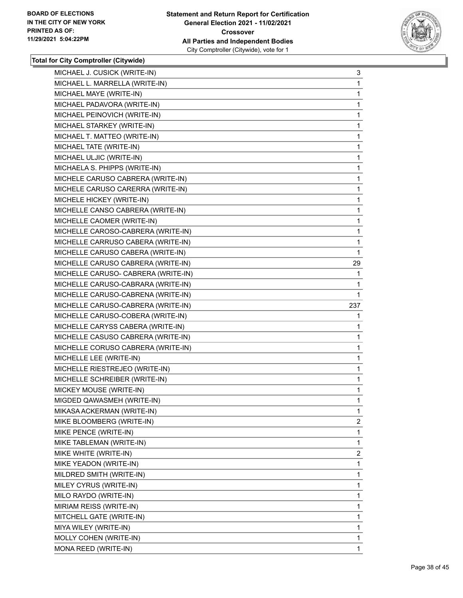

| MICHAEL J. CUSICK (WRITE-IN)        | 3              |
|-------------------------------------|----------------|
| MICHAEL L. MARRELLA (WRITE-IN)      | 1              |
| MICHAEL MAYE (WRITE-IN)             | 1              |
| MICHAEL PADAVORA (WRITE-IN)         | 1              |
| MICHAEL PEINOVICH (WRITE-IN)        | 1              |
| MICHAEL STARKEY (WRITE-IN)          | 1              |
| MICHAEL T. MATTEO (WRITE-IN)        | 1              |
| MICHAEL TATE (WRITE-IN)             | $\mathbf{1}$   |
| MICHAEL ULJIC (WRITE-IN)            | 1              |
| MICHAELA S. PHIPPS (WRITE-IN)       | 1              |
| MICHELE CARUSO CABRERA (WRITE-IN)   | 1              |
| MICHELE CARUSO CARERRA (WRITE-IN)   | $\mathbf{1}$   |
| MICHELE HICKEY (WRITE-IN)           | $\mathbf{1}$   |
| MICHELLE CANSO CABRERA (WRITE-IN)   | $\mathbf{1}$   |
| MICHELLE CAOMER (WRITE-IN)          | 1              |
| MICHELLE CAROSO-CABRERA (WRITE-IN)  | 1              |
| MICHELLE CARRUSO CABERA (WRITE-IN)  | 1              |
| MICHELLE CARUSO CABERA (WRITE-IN)   | 1              |
| MICHELLE CARUSO CABRERA (WRITE-IN)  | 29             |
| MICHELLE CARUSO- CABRERA (WRITE-IN) | 1              |
| MICHELLE CARUSO-CABRARA (WRITE-IN)  | 1              |
| MICHELLE CARUSO-CABRENA (WRITE-IN)  | 1              |
| MICHELLE CARUSO-CABRERA (WRITE-IN)  | 237            |
| MICHELLE CARUSO-COBERA (WRITE-IN)   | 1              |
| MICHELLE CARYSS CABERA (WRITE-IN)   | 1              |
| MICHELLE CASUSO CABRERA (WRITE-IN)  | 1              |
| MICHELLE CORUSO CABRERA (WRITE-IN)  | 1              |
| MICHELLE LEE (WRITE-IN)             | 1              |
| MICHELLE RIESTREJEO (WRITE-IN)      | 1              |
| MICHELLE SCHREIBER (WRITE-IN)       | $\mathbf{1}$   |
| MICKEY MOUSE (WRITE-IN)             | 1              |
| MIGDED QAWASMEH (WRITE-IN)          | $\mathbf{1}$   |
| MIKASA ACKERMAN (WRITE-IN)          | 1              |
| MIKE BLOOMBERG (WRITE-IN)           | $\overline{a}$ |
| MIKE PENCE (WRITE-IN)               | 1              |
| MIKE TABLEMAN (WRITE-IN)            | 1              |
| MIKE WHITE (WRITE-IN)               | $\overline{2}$ |
| MIKE YEADON (WRITE-IN)              | 1              |
| MILDRED SMITH (WRITE-IN)            | 1              |
| MILEY CYRUS (WRITE-IN)              | 1              |
| MILO RAYDO (WRITE-IN)               | 1              |
| MIRIAM REISS (WRITE-IN)             | 1              |
| MITCHELL GATE (WRITE-IN)            | 1              |
| MIYA WILEY (WRITE-IN)               | 1              |
| MOLLY COHEN (WRITE-IN)              | 1              |
| MONA REED (WRITE-IN)                | 1              |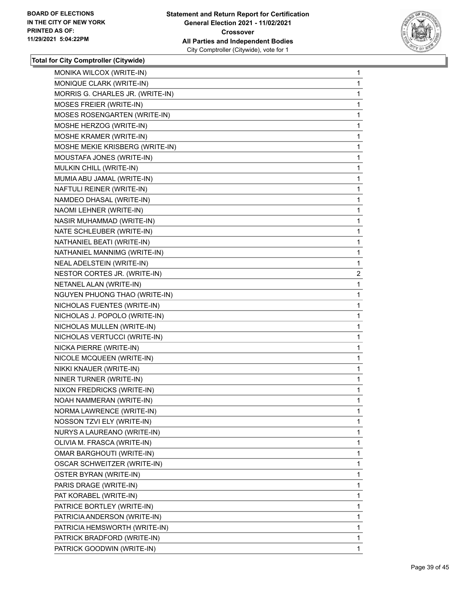

| MONIKA WILCOX (WRITE-IN)         | 1              |
|----------------------------------|----------------|
| MONIQUE CLARK (WRITE-IN)         | 1              |
| MORRIS G. CHARLES JR. (WRITE-IN) | 1              |
| MOSES FREIER (WRITE-IN)          | 1              |
| MOSES ROSENGARTEN (WRITE-IN)     | 1              |
| MOSHE HERZOG (WRITE-IN)          | 1              |
| MOSHE KRAMER (WRITE-IN)          | 1              |
| MOSHE MEKIE KRISBERG (WRITE-IN)  | 1              |
| MOUSTAFA JONES (WRITE-IN)        | 1              |
| MULKIN CHILL (WRITE-IN)          | 1              |
| MUMIA ABU JAMAL (WRITE-IN)       | 1              |
| NAFTULI REINER (WRITE-IN)        | 1              |
| NAMDEO DHASAL (WRITE-IN)         | 1              |
| NAOMI LEHNER (WRITE-IN)          | 1              |
| NASIR MUHAMMAD (WRITE-IN)        | 1              |
| NATE SCHLEUBER (WRITE-IN)        | 1              |
| NATHANIEL BEATI (WRITE-IN)       | 1              |
| NATHANIEL MANNIMG (WRITE-IN)     | 1              |
| NEAL ADELSTEIN (WRITE-IN)        | 1              |
| NESTOR CORTES JR. (WRITE-IN)     | $\overline{a}$ |
| NETANEL ALAN (WRITE-IN)          | 1              |
| NGUYEN PHUONG THAO (WRITE-IN)    | 1              |
| NICHOLAS FUENTES (WRITE-IN)      | 1              |
| NICHOLAS J. POPOLO (WRITE-IN)    | 1              |
| NICHOLAS MULLEN (WRITE-IN)       | 1              |
| NICHOLAS VERTUCCI (WRITE-IN)     | 1              |
| NICKA PIERRE (WRITE-IN)          | 1              |
| NICOLE MCQUEEN (WRITE-IN)        | 1              |
| NIKKI KNAUER (WRITE-IN)          | $\mathbf{1}$   |
| NINER TURNER (WRITE-IN)          | 1              |
| NIXON FREDRICKS (WRITE-IN)       | 1              |
| NOAH NAMMERAN (WRITE-IN)         | $\mathbf{1}$   |
| NORMA LAWRENCE (WRITE-IN)        | 1              |
| NOSSON TZVI ELY (WRITE-IN)       | 1              |
| NURYS A LAUREANO (WRITE-IN)      | 1              |
| OLIVIA M. FRASCA (WRITE-IN)      | 1              |
| <b>OMAR BARGHOUTI (WRITE-IN)</b> | 1              |
| OSCAR SCHWEITZER (WRITE-IN)      | 1              |
| OSTER BYRAN (WRITE-IN)           | 1              |
| PARIS DRAGE (WRITE-IN)           | 1              |
| PAT KORABEL (WRITE-IN)           | 1              |
| PATRICE BORTLEY (WRITE-IN)       | 1              |
| PATRICIA ANDERSON (WRITE-IN)     | 1              |
| PATRICIA HEMSWORTH (WRITE-IN)    | 1              |
| PATRICK BRADFORD (WRITE-IN)      | 1              |
| PATRICK GOODWIN (WRITE-IN)       | 1              |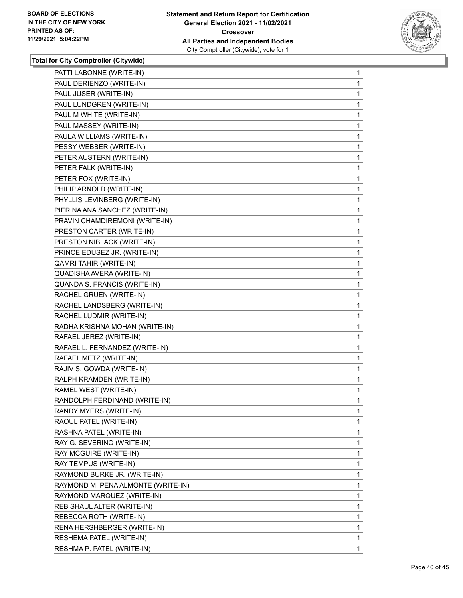

| PATTI LABONNE (WRITE-IN)           | 1 |
|------------------------------------|---|
| PAUL DERIENZO (WRITE-IN)           | 1 |
| PAUL JUSER (WRITE-IN)              | 1 |
| PAUL LUNDGREN (WRITE-IN)           | 1 |
| PAUL M WHITE (WRITE-IN)            | 1 |
| PAUL MASSEY (WRITE-IN)             | 1 |
| PAULA WILLIAMS (WRITE-IN)          | 1 |
| PESSY WEBBER (WRITE-IN)            | 1 |
| PETER AUSTERN (WRITE-IN)           | 1 |
| PETER FALK (WRITE-IN)              | 1 |
| PETER FOX (WRITE-IN)               | 1 |
| PHILIP ARNOLD (WRITE-IN)           | 1 |
| PHYLLIS LEVINBERG (WRITE-IN)       | 1 |
| PIERINA ANA SANCHEZ (WRITE-IN)     | 1 |
| PRAVIN CHAMDIREMONI (WRITE-IN)     | 1 |
| PRESTON CARTER (WRITE-IN)          | 1 |
| PRESTON NIBLACK (WRITE-IN)         | 1 |
| PRINCE EDUSEZ JR. (WRITE-IN)       | 1 |
| <b>QAMRI TAHIR (WRITE-IN)</b>      | 1 |
| QUADISHA AVERA (WRITE-IN)          | 1 |
| QUANDA S. FRANCIS (WRITE-IN)       | 1 |
| RACHEL GRUEN (WRITE-IN)            | 1 |
| RACHEL LANDSBERG (WRITE-IN)        | 1 |
| RACHEL LUDMIR (WRITE-IN)           | 1 |
| RADHA KRISHNA MOHAN (WRITE-IN)     | 1 |
| RAFAEL JEREZ (WRITE-IN)            | 1 |
| RAFAEL L. FERNANDEZ (WRITE-IN)     | 1 |
| RAFAEL METZ (WRITE-IN)             | 1 |
| RAJIV S. GOWDA (WRITE-IN)          | 1 |
| RALPH KRAMDEN (WRITE-IN)           | 1 |
| RAMEL WEST (WRITE-IN)              | 1 |
| RANDOLPH FERDINAND (WRITE-IN)      | 1 |
| RANDY MYERS (WRITE-IN)             | 1 |
| RAOUL PATEL (WRITE-IN)             | 1 |
| RASHNA PATEL (WRITE-IN)            | 1 |
| RAY G. SEVERINO (WRITE-IN)         | 1 |
| RAY MCGUIRE (WRITE-IN)             | 1 |
| RAY TEMPUS (WRITE-IN)              | 1 |
| RAYMOND BURKE JR. (WRITE-IN)       | 1 |
| RAYMOND M. PENA ALMONTE (WRITE-IN) | 1 |
| RAYMOND MARQUEZ (WRITE-IN)         | 1 |
| REB SHAUL ALTER (WRITE-IN)         | 1 |
| REBECCA ROTH (WRITE-IN)            | 1 |
| RENA HERSHBERGER (WRITE-IN)        | 1 |
| RESHEMA PATEL (WRITE-IN)           | 1 |
| RESHMA P. PATEL (WRITE-IN)         | 1 |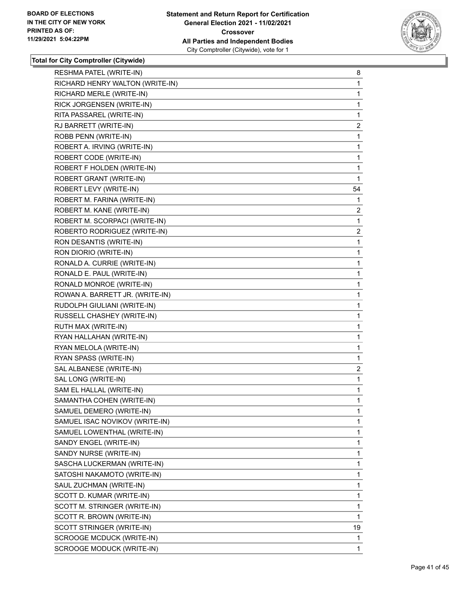

| RESHMA PATEL (WRITE-IN)         | 8              |
|---------------------------------|----------------|
| RICHARD HENRY WALTON (WRITE-IN) | 1              |
| RICHARD MERLE (WRITE-IN)        | 1              |
| RICK JORGENSEN (WRITE-IN)       | 1              |
| RITA PASSAREL (WRITE-IN)        | 1              |
| RJ BARRETT (WRITE-IN)           | $\overline{2}$ |
| ROBB PENN (WRITE-IN)            | $\mathbf{1}$   |
| ROBERT A. IRVING (WRITE-IN)     | 1              |
| ROBERT CODE (WRITE-IN)          | 1              |
| ROBERT F HOLDEN (WRITE-IN)      | 1              |
| ROBERT GRANT (WRITE-IN)         | 1              |
| ROBERT LEVY (WRITE-IN)          | 54             |
| ROBERT M. FARINA (WRITE-IN)     | 1              |
| ROBERT M. KANE (WRITE-IN)       | $\overline{2}$ |
| ROBERT M. SCORPACI (WRITE-IN)   | 1              |
| ROBERTO RODRIGUEZ (WRITE-IN)    | $\overline{2}$ |
| RON DESANTIS (WRITE-IN)         | 1              |
| RON DIORIO (WRITE-IN)           | 1              |
| RONALD A. CURRIE (WRITE-IN)     | 1              |
| RONALD E. PAUL (WRITE-IN)       | 1              |
| RONALD MONROE (WRITE-IN)        | 1              |
| ROWAN A. BARRETT JR. (WRITE-IN) | 1              |
| RUDOLPH GIULIANI (WRITE-IN)     | 1              |
| RUSSELL CHASHEY (WRITE-IN)      | 1              |
| RUTH MAX (WRITE-IN)             | 1              |
| RYAN HALLAHAN (WRITE-IN)        | 1              |
| RYAN MELOLA (WRITE-IN)          | 1              |
| RYAN SPASS (WRITE-IN)           | 1              |
| SAL ALBANESE (WRITE-IN)         | 2              |
| SAL LONG (WRITE-IN)             | 1              |
| SAM EL HALLAL (WRITE-IN)        | 1              |
| SAMANTHA COHEN (WRITE-IN)       | 1              |
| SAMUEL DEMERO (WRITE-IN)        | 1              |
| SAMUEL ISAC NOVIKOV (WRITE-IN)  | 1              |
| SAMUEL LOWENTHAL (WRITE-IN)     | 1              |
| SANDY ENGEL (WRITE-IN)          | 1              |
| SANDY NURSE (WRITE-IN)          | 1              |
| SASCHA LUCKERMAN (WRITE-IN)     | 1              |
| SATOSHI NAKAMOTO (WRITE-IN)     | 1              |
| SAUL ZUCHMAN (WRITE-IN)         | 1              |
| SCOTT D. KUMAR (WRITE-IN)       | 1              |
| SCOTT M. STRINGER (WRITE-IN)    | 1              |
| SCOTT R. BROWN (WRITE-IN)       | 1              |
| SCOTT STRINGER (WRITE-IN)       | 19             |
| SCROOGE MCDUCK (WRITE-IN)       | 1              |
| SCROOGE MODUCK (WRITE-IN)       | 1              |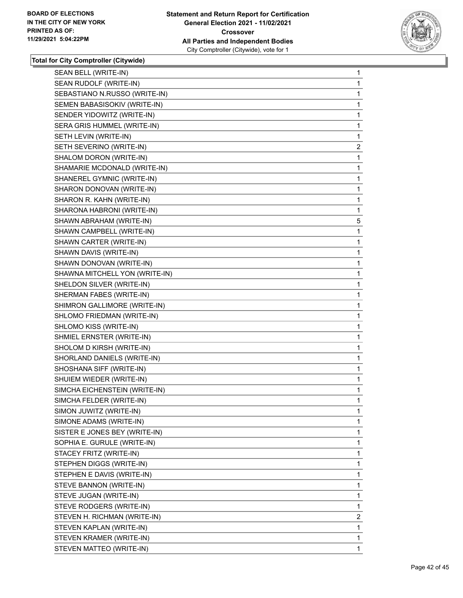

| SEAN BELL (WRITE-IN)           | 1              |
|--------------------------------|----------------|
| SEAN RUDOLF (WRITE-IN)         | 1              |
| SEBASTIANO N.RUSSO (WRITE-IN)  | 1              |
| SEMEN BABASISOKIV (WRITE-IN)   | 1              |
| SENDER YIDOWITZ (WRITE-IN)     | 1              |
| SERA GRIS HUMMEL (WRITE-IN)    | 1              |
| SETH LEVIN (WRITE-IN)          | 1              |
| SETH SEVERINO (WRITE-IN)       | $\overline{2}$ |
| SHALOM DORON (WRITE-IN)        | 1              |
| SHAMARIE MCDONALD (WRITE-IN)   | 1              |
| SHANEREL GYMNIC (WRITE-IN)     | 1              |
| SHARON DONOVAN (WRITE-IN)      | 1              |
| SHARON R. KAHN (WRITE-IN)      | 1              |
| SHARONA HABRONI (WRITE-IN)     | 1              |
| SHAWN ABRAHAM (WRITE-IN)       | 5              |
| SHAWN CAMPBELL (WRITE-IN)      | 1              |
| SHAWN CARTER (WRITE-IN)        | 1              |
| SHAWN DAVIS (WRITE-IN)         | 1              |
| SHAWN DONOVAN (WRITE-IN)       | 1              |
| SHAWNA MITCHELL YON (WRITE-IN) | 1              |
| SHELDON SILVER (WRITE-IN)      | 1              |
| SHERMAN FABES (WRITE-IN)       | 1              |
| SHIMRON GALLIMORE (WRITE-IN)   | 1              |
| SHLOMO FRIEDMAN (WRITE-IN)     | 1              |
| SHLOMO KISS (WRITE-IN)         | 1              |
| SHMIEL ERNSTER (WRITE-IN)      | 1              |
| SHOLOM D KIRSH (WRITE-IN)      | 1              |
| SHORLAND DANIELS (WRITE-IN)    | 1              |
| SHOSHANA SIFF (WRITE-IN)       | 1              |
| SHUIEM WIEDER (WRITE-IN)       | 1              |
| SIMCHA EICHENSTEIN (WRITE-IN)  | 1              |
| SIMCHA FELDER (WRITE-IN)       | 1              |
| SIMON JUWITZ (WRITE-IN)        | 1              |
| SIMONE ADAMS (WRITE-IN)        | 1              |
| SISTER E JONES BEY (WRITE-IN)  | 1              |
| SOPHIA E. GURULE (WRITE-IN)    | 1              |
| STACEY FRITZ (WRITE-IN)        | 1              |
| STEPHEN DIGGS (WRITE-IN)       | 1              |
| STEPHEN E DAVIS (WRITE-IN)     | 1              |
| STEVE BANNON (WRITE-IN)        | 1              |
| STEVE JUGAN (WRITE-IN)         | 1              |
| STEVE RODGERS (WRITE-IN)       | 1              |
| STEVEN H. RICHMAN (WRITE-IN)   | $\overline{2}$ |
| STEVEN KAPLAN (WRITE-IN)       | 1              |
| STEVEN KRAMER (WRITE-IN)       | 1              |
| STEVEN MATTEO (WRITE-IN)       | 1              |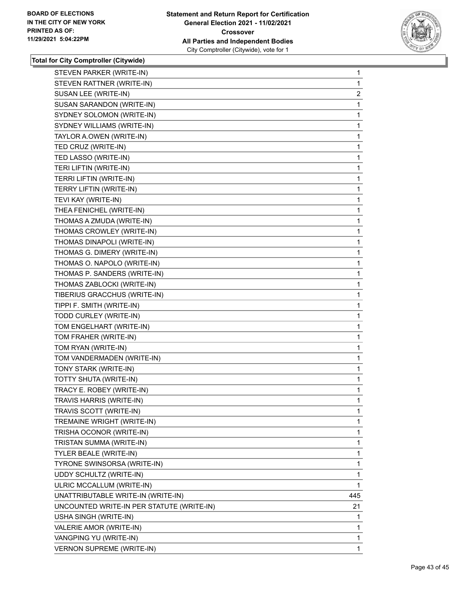

| STEVEN PARKER (WRITE-IN)                  | $\mathbf{1}$   |
|-------------------------------------------|----------------|
| STEVEN RATTNER (WRITE-IN)                 | 1              |
| SUSAN LEE (WRITE-IN)                      | $\overline{2}$ |
| SUSAN SARANDON (WRITE-IN)                 | 1              |
| SYDNEY SOLOMON (WRITE-IN)                 | 1              |
| SYDNEY WILLIAMS (WRITE-IN)                | 1              |
| TAYLOR A.OWEN (WRITE-IN)                  | 1              |
| TED CRUZ (WRITE-IN)                       | 1              |
| TED LASSO (WRITE-IN)                      | 1              |
| TERI LIFTIN (WRITE-IN)                    | 1              |
| TERRI LIFTIN (WRITE-IN)                   | 1              |
| TERRY LIFTIN (WRITE-IN)                   | 1              |
| TEVI KAY (WRITE-IN)                       | 1              |
| THEA FENICHEL (WRITE-IN)                  | 1              |
| THOMAS A ZMUDA (WRITE-IN)                 | 1              |
| THOMAS CROWLEY (WRITE-IN)                 | 1              |
| THOMAS DINAPOLI (WRITE-IN)                | 1              |
| THOMAS G. DIMERY (WRITE-IN)               | 1              |
| THOMAS O. NAPOLO (WRITE-IN)               | 1              |
| THOMAS P. SANDERS (WRITE-IN)              | 1              |
| THOMAS ZABLOCKI (WRITE-IN)                | 1              |
| TIBERIUS GRACCHUS (WRITE-IN)              | 1              |
| TIPPI F. SMITH (WRITE-IN)                 | 1              |
| TODD CURLEY (WRITE-IN)                    | 1              |
| TOM ENGELHART (WRITE-IN)                  | 1              |
| TOM FRAHER (WRITE-IN)                     | 1              |
| TOM RYAN (WRITE-IN)                       | 1              |
| TOM VANDERMADEN (WRITE-IN)                | 1.             |
| TONY STARK (WRITE-IN)                     | 1              |
| TOTTY SHUTA (WRITE-IN)                    | 1              |
| TRACY E. ROBEY (WRITE-IN)                 | 1              |
| TRAVIS HARRIS (WRITE-IN)                  | 1              |
| TRAVIS SCOTT (WRITE-IN)                   | 1              |
| TREMAINE WRIGHT (WRITE-IN)                | 1              |
| TRISHA OCONOR (WRITE-IN)                  | 1              |
| TRISTAN SUMMA (WRITE-IN)                  | 1              |
| TYLER BEALE (WRITE-IN)                    | 1              |
| TYRONE SWINSORSA (WRITE-IN)               | 1              |
| UDDY SCHULTZ (WRITE-IN)                   | 1              |
| ULRIC MCCALLUM (WRITE-IN)                 | 1              |
| UNATTRIBUTABLE WRITE-IN (WRITE-IN)        | 445            |
| UNCOUNTED WRITE-IN PER STATUTE (WRITE-IN) | 21             |
| USHA SINGH (WRITE-IN)                     | 1              |
| VALERIE AMOR (WRITE-IN)                   | 1              |
| VANGPING YU (WRITE-IN)                    | 1              |
| VERNON SUPREME (WRITE-IN)                 | $\mathbf{1}$   |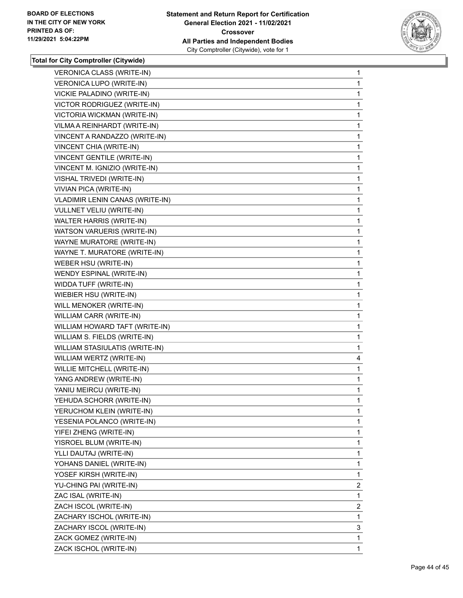

| VERONICA CLASS (WRITE-IN)              | 1              |
|----------------------------------------|----------------|
| VERONICA LUPO (WRITE-IN)               | 1.             |
| VICKIE PALADINO (WRITE-IN)             | 1              |
| VICTOR RODRIGUEZ (WRITE-IN)            | 1              |
| VICTORIA WICKMAN (WRITE-IN)            | 1              |
| VILMA A REINHARDT (WRITE-IN)           | 1              |
| VINCENT A RANDAZZO (WRITE-IN)          | 1              |
| VINCENT CHIA (WRITE-IN)                | 1              |
| VINCENT GENTILE (WRITE-IN)             | 1              |
| VINCENT M. IGNIZIO (WRITE-IN)          | 1              |
| VISHAL TRIVEDI (WRITE-IN)              | 1              |
| VIVIAN PICA (WRITE-IN)                 | 1              |
| <b>VLADIMIR LENIN CANAS (WRITE-IN)</b> | 1              |
| VULLNET VELIU (WRITE-IN)               | 1              |
| WALTER HARRIS (WRITE-IN)               | 1              |
| WATSON VARUERIS (WRITE-IN)             | 1              |
| WAYNE MURATORE (WRITE-IN)              | 1              |
| WAYNE T. MURATORE (WRITE-IN)           | 1              |
| WEBER HSU (WRITE-IN)                   | 1              |
| WENDY ESPINAL (WRITE-IN)               | 1              |
| WIDDA TUFF (WRITE-IN)                  | 1              |
| WIEBIER HSU (WRITE-IN)                 | 1              |
| WILL MENOKER (WRITE-IN)                | 1              |
| WILLIAM CARR (WRITE-IN)                | 1              |
| WILLIAM HOWARD TAFT (WRITE-IN)         | 1              |
| WILLIAM S. FIELDS (WRITE-IN)           | 1              |
| WILLIAM STASIULATIS (WRITE-IN)         | 1              |
| WILLIAM WERTZ (WRITE-IN)               | 4              |
| WILLIE MITCHELL (WRITE-IN)             | 1              |
| YANG ANDREW (WRITE-IN)                 | 1              |
| YANIU MEIRCU (WRITE-IN)                | 1              |
| YEHUDA SCHORR (WRITE-IN)               | 1              |
| YERUCHOM KLEIN (WRITE-IN)              | 1              |
| YESENIA POLANCO (WRITE-IN)             | 1              |
| YIFEI ZHENG (WRITE-IN)                 | 1              |
| YISROEL BLUM (WRITE-IN)                | 1              |
| YLLI DAUTAJ (WRITE-IN)                 | 1              |
| YOHANS DANIEL (WRITE-IN)               | 1              |
| YOSEF KIRSH (WRITE-IN)                 | 1              |
| YU-CHING PAI (WRITE-IN)                | 2              |
| ZAC ISAL (WRITE-IN)                    | 1              |
| ZACH ISCOL (WRITE-IN)                  | $\overline{2}$ |
| ZACHARY ISCHOL (WRITE-IN)              | 1              |
| ZACHARY ISCOL (WRITE-IN)               | 3              |
| ZACK GOMEZ (WRITE-IN)                  | 1              |
| ZACK ISCHOL (WRITE-IN)                 | 1              |
|                                        |                |